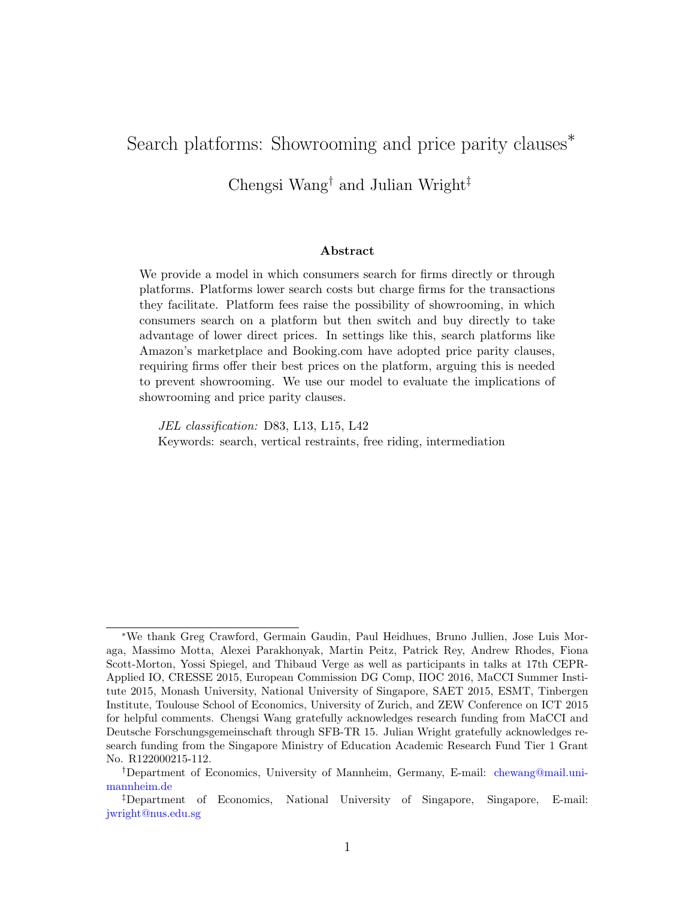# Search platforms: Showrooming and price parity clauses<sup>\*</sup>

Chengsi Wang† and Julian Wright‡

#### Abstract

We provide a model in which consumers search for firms directly or through platforms. Platforms lower search costs but charge firms for the transactions they facilitate. Platform fees raise the possibility of showrooming, in which consumers search on a platform but then switch and buy directly to take advantage of lower direct prices. In settings like this, search platforms like Amazon's marketplace and Booking.com have adopted price parity clauses, requiring firms offer their best prices on the platform, arguing this is needed to prevent showrooming. We use our model to evaluate the implications of showrooming and price parity clauses.

JEL classification: D83, L13, L15, L42 Keywords: search, vertical restraints, free riding, intermediation

<sup>∗</sup>We thank Greg Crawford, Germain Gaudin, Paul Heidhues, Bruno Jullien, Jose Luis Moraga, Massimo Motta, Alexei Parakhonyak, Martin Peitz, Patrick Rey, Andrew Rhodes, Fiona Scott-Morton, Yossi Spiegel, and Thibaud Verge as well as participants in talks at 17th CEPR-Applied IO, CRESSE 2015, European Commission DG Comp, IIOC 2016, MaCCI Summer Institute 2015, Monash University, National University of Singapore, SAET 2015, ESMT, Tinbergen Institute, Toulouse School of Economics, University of Zurich, and ZEW Conference on ICT 2015 for helpful comments. Chengsi Wang gratefully acknowledges research funding from MaCCI and Deutsche Forschungsgemeinschaft through SFB-TR 15. Julian Wright gratefully acknowledges research funding from the Singapore Ministry of Education Academic Research Fund Tier 1 Grant No. R122000215-112.

<sup>†</sup>Department of Economics, University of Mannheim, Germany, E-mail: [chewang@mail.uni](mailto:chewang@mail.uni-mannheim.de)[mannheim.de](mailto:chewang@mail.uni-mannheim.de)

<sup>‡</sup>Department of Economics, National University of Singapore, Singapore, E-mail: [jwright@nus.edu.sg](mailto:jwright@nus.edu.sg)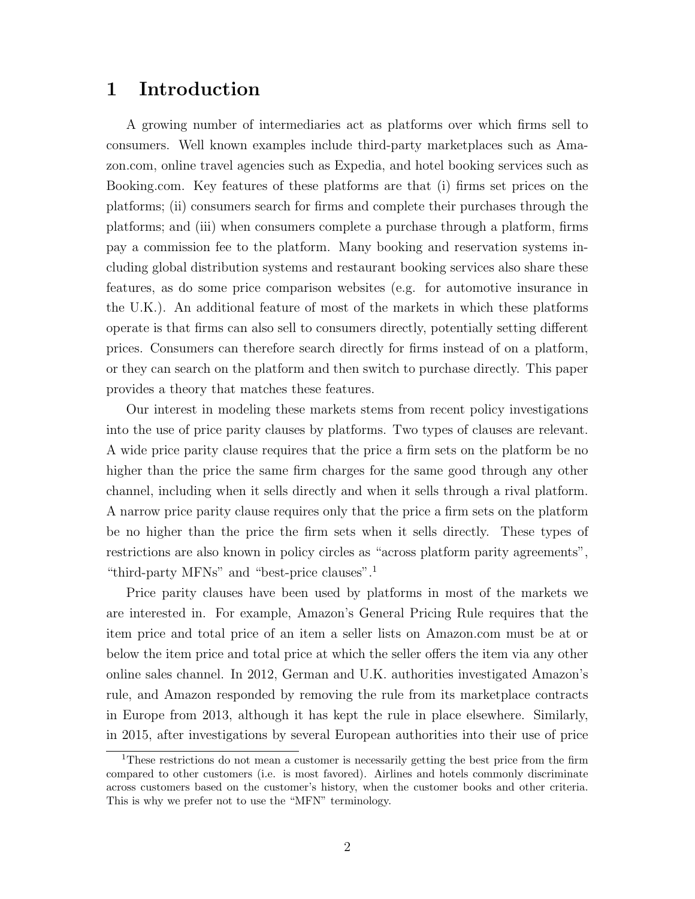## 1 Introduction

A growing number of intermediaries act as platforms over which firms sell to consumers. Well known examples include third-party marketplaces such as Amazon.com, online travel agencies such as Expedia, and hotel booking services such as Booking.com. Key features of these platforms are that (i) firms set prices on the platforms; (ii) consumers search for firms and complete their purchases through the platforms; and (iii) when consumers complete a purchase through a platform, firms pay a commission fee to the platform. Many booking and reservation systems including global distribution systems and restaurant booking services also share these features, as do some price comparison websites (e.g. for automotive insurance in the U.K.). An additional feature of most of the markets in which these platforms operate is that firms can also sell to consumers directly, potentially setting different prices. Consumers can therefore search directly for firms instead of on a platform, or they can search on the platform and then switch to purchase directly. This paper provides a theory that matches these features.

Our interest in modeling these markets stems from recent policy investigations into the use of price parity clauses by platforms. Two types of clauses are relevant. A wide price parity clause requires that the price a firm sets on the platform be no higher than the price the same firm charges for the same good through any other channel, including when it sells directly and when it sells through a rival platform. A narrow price parity clause requires only that the price a firm sets on the platform be no higher than the price the firm sets when it sells directly. These types of restrictions are also known in policy circles as "across platform parity agreements", "third-party MFNs" and "best-price clauses".<sup>[1](#page-1-0)</sup>

Price parity clauses have been used by platforms in most of the markets we are interested in. For example, Amazon's General Pricing Rule requires that the item price and total price of an item a seller lists on Amazon.com must be at or below the item price and total price at which the seller offers the item via any other online sales channel. In 2012, German and U.K. authorities investigated Amazon's rule, and Amazon responded by removing the rule from its marketplace contracts in Europe from 2013, although it has kept the rule in place elsewhere. Similarly, in 2015, after investigations by several European authorities into their use of price

<span id="page-1-0"></span><sup>&</sup>lt;sup>1</sup>These restrictions do not mean a customer is necessarily getting the best price from the firm compared to other customers (i.e. is most favored). Airlines and hotels commonly discriminate across customers based on the customer's history, when the customer books and other criteria. This is why we prefer not to use the "MFN" terminology.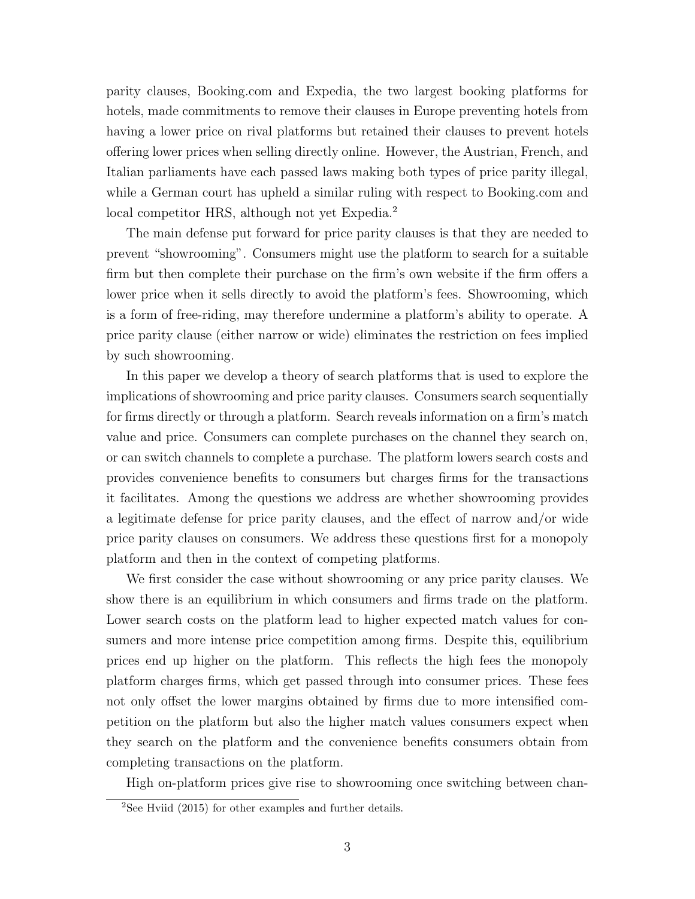parity clauses, Booking.com and Expedia, the two largest booking platforms for hotels, made commitments to remove their clauses in Europe preventing hotels from having a lower price on rival platforms but retained their clauses to prevent hotels offering lower prices when selling directly online. However, the Austrian, French, and Italian parliaments have each passed laws making both types of price parity illegal, while a German court has upheld a similar ruling with respect to Booking.com and local competitor HRS, although not yet Expedia.<sup>[2](#page-2-0)</sup>

The main defense put forward for price parity clauses is that they are needed to prevent "showrooming". Consumers might use the platform to search for a suitable firm but then complete their purchase on the firm's own website if the firm offers a lower price when it sells directly to avoid the platform's fees. Showrooming, which is a form of free-riding, may therefore undermine a platform's ability to operate. A price parity clause (either narrow or wide) eliminates the restriction on fees implied by such showrooming.

In this paper we develop a theory of search platforms that is used to explore the implications of showrooming and price parity clauses. Consumers search sequentially for firms directly or through a platform. Search reveals information on a firm's match value and price. Consumers can complete purchases on the channel they search on, or can switch channels to complete a purchase. The platform lowers search costs and provides convenience benefits to consumers but charges firms for the transactions it facilitates. Among the questions we address are whether showrooming provides a legitimate defense for price parity clauses, and the effect of narrow and/or wide price parity clauses on consumers. We address these questions first for a monopoly platform and then in the context of competing platforms.

We first consider the case without showrooming or any price parity clauses. We show there is an equilibrium in which consumers and firms trade on the platform. Lower search costs on the platform lead to higher expected match values for consumers and more intense price competition among firms. Despite this, equilibrium prices end up higher on the platform. This reflects the high fees the monopoly platform charges firms, which get passed through into consumer prices. These fees not only offset the lower margins obtained by firms due to more intensified competition on the platform but also the higher match values consumers expect when they search on the platform and the convenience benefits consumers obtain from completing transactions on the platform.

High on-platform prices give rise to showrooming once switching between chan-

<span id="page-2-0"></span> $^{2}$ See Hviid (2015) for other examples and further details.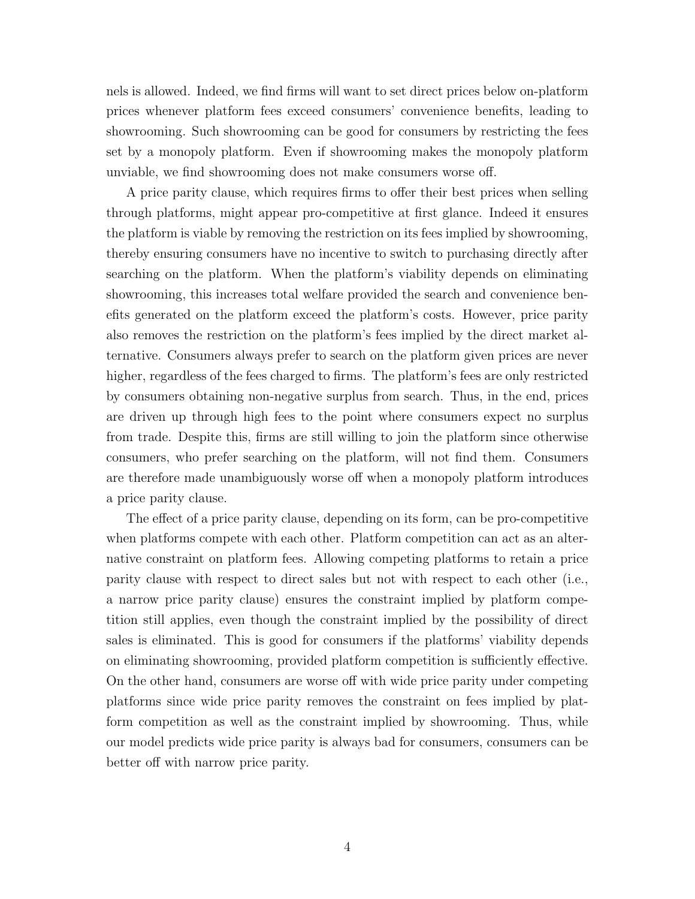nels is allowed. Indeed, we find firms will want to set direct prices below on-platform prices whenever platform fees exceed consumers' convenience benefits, leading to showrooming. Such showrooming can be good for consumers by restricting the fees set by a monopoly platform. Even if showrooming makes the monopoly platform unviable, we find showrooming does not make consumers worse off.

A price parity clause, which requires firms to offer their best prices when selling through platforms, might appear pro-competitive at first glance. Indeed it ensures the platform is viable by removing the restriction on its fees implied by showrooming, thereby ensuring consumers have no incentive to switch to purchasing directly after searching on the platform. When the platform's viability depends on eliminating showrooming, this increases total welfare provided the search and convenience benefits generated on the platform exceed the platform's costs. However, price parity also removes the restriction on the platform's fees implied by the direct market alternative. Consumers always prefer to search on the platform given prices are never higher, regardless of the fees charged to firms. The platform's fees are only restricted by consumers obtaining non-negative surplus from search. Thus, in the end, prices are driven up through high fees to the point where consumers expect no surplus from trade. Despite this, firms are still willing to join the platform since otherwise consumers, who prefer searching on the platform, will not find them. Consumers are therefore made unambiguously worse off when a monopoly platform introduces a price parity clause.

The effect of a price parity clause, depending on its form, can be pro-competitive when platforms compete with each other. Platform competition can act as an alternative constraint on platform fees. Allowing competing platforms to retain a price parity clause with respect to direct sales but not with respect to each other (i.e., a narrow price parity clause) ensures the constraint implied by platform competition still applies, even though the constraint implied by the possibility of direct sales is eliminated. This is good for consumers if the platforms' viability depends on eliminating showrooming, provided platform competition is sufficiently effective. On the other hand, consumers are worse off with wide price parity under competing platforms since wide price parity removes the constraint on fees implied by platform competition as well as the constraint implied by showrooming. Thus, while our model predicts wide price parity is always bad for consumers, consumers can be better off with narrow price parity.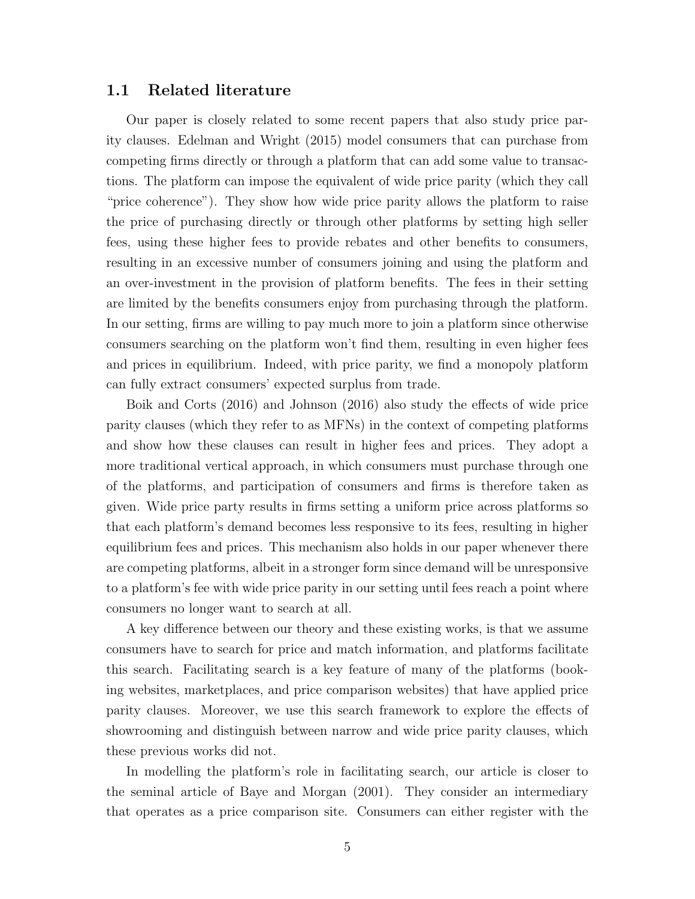### 1.1 Related literature

Our paper is closely related to some recent papers that also study price parity clauses. Edelman and Wright (2015) model consumers that can purchase from competing firms directly or through a platform that can add some value to transactions. The platform can impose the equivalent of wide price parity (which they call "price coherence"). They show how wide price parity allows the platform to raise the price of purchasing directly or through other platforms by setting high seller fees, using these higher fees to provide rebates and other benefits to consumers, resulting in an excessive number of consumers joining and using the platform and an over-investment in the provision of platform benefits. The fees in their setting are limited by the benefits consumers enjoy from purchasing through the platform. In our setting, firms are willing to pay much more to join a platform since otherwise consumers searching on the platform won't find them, resulting in even higher fees and prices in equilibrium. Indeed, with price parity, we find a monopoly platform can fully extract consumers' expected surplus from trade.

Boik and Corts (2016) and Johnson (2016) also study the effects of wide price parity clauses (which they refer to as MFNs) in the context of competing platforms and show how these clauses can result in higher fees and prices. They adopt a more traditional vertical approach, in which consumers must purchase through one of the platforms, and participation of consumers and firms is therefore taken as given. Wide price party results in firms setting a uniform price across platforms so that each platform's demand becomes less responsive to its fees, resulting in higher equilibrium fees and prices. This mechanism also holds in our paper whenever there are competing platforms, albeit in a stronger form since demand will be unresponsive to a platform's fee with wide price parity in our setting until fees reach a point where consumers no longer want to search at all.

A key difference between our theory and these existing works, is that we assume consumers have to search for price and match information, and platforms facilitate this search. Facilitating search is a key feature of many of the platforms (booking websites, marketplaces, and price comparison websites) that have applied price parity clauses. Moreover, we use this search framework to explore the effects of showrooming and distinguish between narrow and wide price parity clauses, which these previous works did not.

In modelling the platform's role in facilitating search, our article is closer to the seminal article of Baye and Morgan (2001). They consider an intermediary that operates as a price comparison site. Consumers can either register with the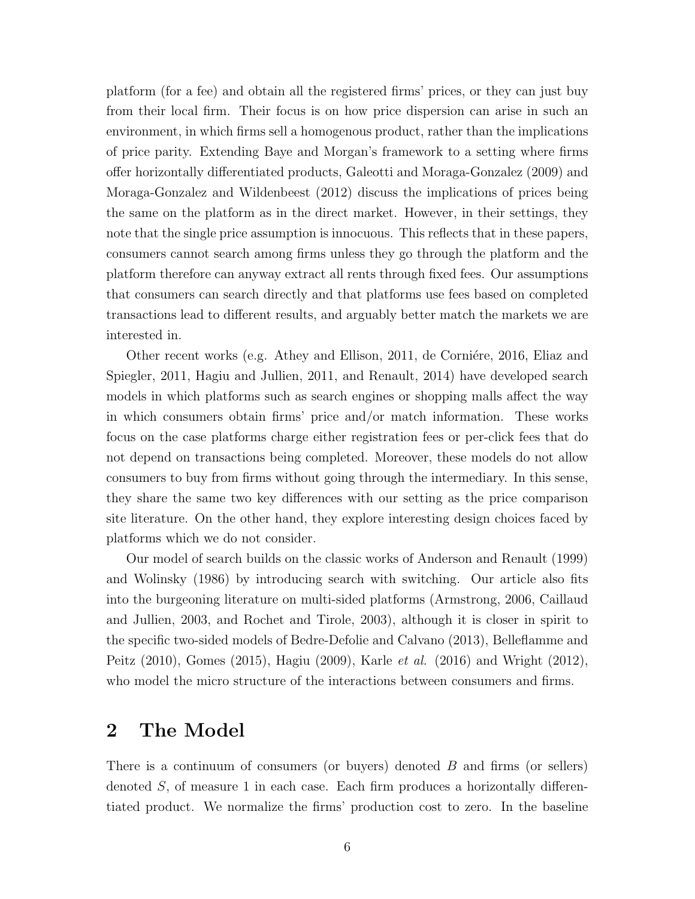platform (for a fee) and obtain all the registered firms' prices, or they can just buy from their local firm. Their focus is on how price dispersion can arise in such an environment, in which firms sell a homogenous product, rather than the implications of price parity. Extending Baye and Morgan's framework to a setting where firms offer horizontally differentiated products, Galeotti and Moraga-Gonzalez (2009) and Moraga-Gonzalez and Wildenbeest (2012) discuss the implications of prices being the same on the platform as in the direct market. However, in their settings, they note that the single price assumption is innocuous. This reflects that in these papers, consumers cannot search among firms unless they go through the platform and the platform therefore can anyway extract all rents through fixed fees. Our assumptions that consumers can search directly and that platforms use fees based on completed transactions lead to different results, and arguably better match the markets we are interested in.

Other recent works (e.g. Athey and Ellison, 2011, de Corniére, 2016, Eliaz and Spiegler, 2011, Hagiu and Jullien, 2011, and Renault, 2014) have developed search models in which platforms such as search engines or shopping malls affect the way in which consumers obtain firms' price and/or match information. These works focus on the case platforms charge either registration fees or per-click fees that do not depend on transactions being completed. Moreover, these models do not allow consumers to buy from firms without going through the intermediary. In this sense, they share the same two key differences with our setting as the price comparison site literature. On the other hand, they explore interesting design choices faced by platforms which we do not consider.

Our model of search builds on the classic works of Anderson and Renault (1999) and Wolinsky (1986) by introducing search with switching. Our article also fits into the burgeoning literature on multi-sided platforms (Armstrong, 2006, Caillaud and Jullien, 2003, and Rochet and Tirole, 2003), although it is closer in spirit to the specific two-sided models of Bedre-Defolie and Calvano (2013), Belleflamme and Peitz (2010), Gomes (2015), Hagiu (2009), Karle et al. (2016) and Wright (2012), who model the micro structure of the interactions between consumers and firms.

# <span id="page-5-0"></span>2 The Model

There is a continuum of consumers (or buyers) denoted B and firms (or sellers) denoted S, of measure 1 in each case. Each firm produces a horizontally differentiated product. We normalize the firms' production cost to zero. In the baseline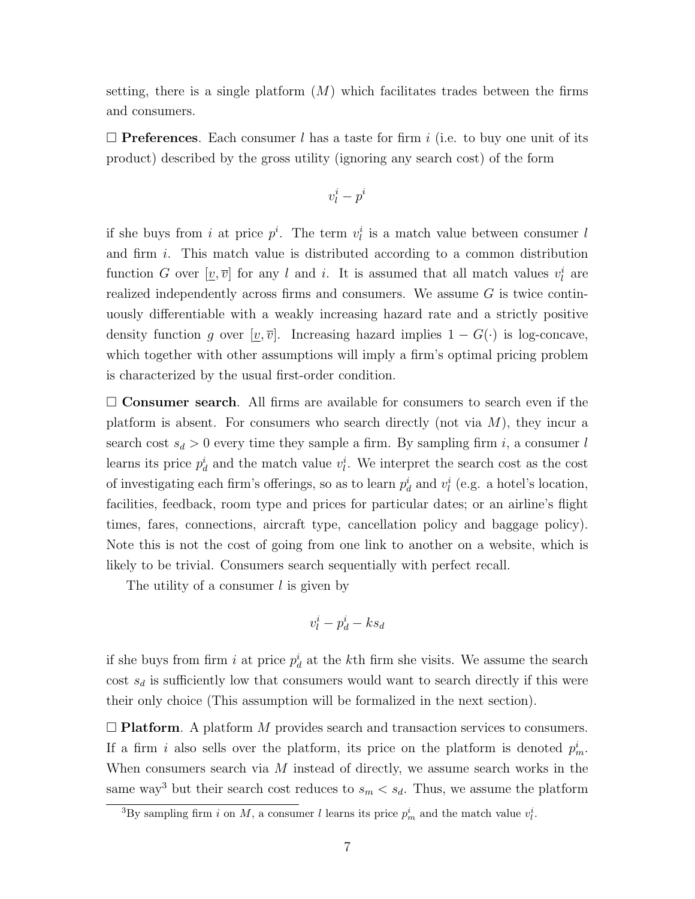setting, there is a single platform  $(M)$  which facilitates trades between the firms and consumers.

 $\Box$  **Preferences**. Each consumer l has a taste for firm i (i.e. to buy one unit of its product) described by the gross utility (ignoring any search cost) of the form

$$
v_l^i-p^i
$$

if she buys from i at price  $p^i$ . The term  $v^i_l$  is a match value between consumer l and firm i. This match value is distributed according to a common distribution function G over  $[\underline{v}, \overline{v}]$  for any l and i. It is assumed that all match values  $v_l^i$  are realized independently across firms and consumers. We assume G is twice continuously differentiable with a weakly increasing hazard rate and a strictly positive density function g over  $[\underline{v}, \overline{v}]$ . Increasing hazard implies  $1 - G(\cdot)$  is log-concave, which together with other assumptions will imply a firm's optimal pricing problem is characterized by the usual first-order condition.

 $\square$  Consumer search. All firms are available for consumers to search even if the platform is absent. For consumers who search directly (not via  $M$ ), they incur a search cost  $s_d > 0$  every time they sample a firm. By sampling firm i, a consumer l learns its price  $p_d^i$  and the match value  $v_l^i$ . We interpret the search cost as the cost of investigating each firm's offerings, so as to learn  $p_d^i$  and  $v_l^i$  (e.g. a hotel's location, facilities, feedback, room type and prices for particular dates; or an airline's flight times, fares, connections, aircraft type, cancellation policy and baggage policy). Note this is not the cost of going from one link to another on a website, which is likely to be trivial. Consumers search sequentially with perfect recall.

The utility of a consumer  $l$  is given by

$$
v^i_l - p^i_d - k s_d
$$

if she buys from firm i at price  $p_d^i$  at the kth firm she visits. We assume the search cost  $s_d$  is sufficiently low that consumers would want to search directly if this were their only choice (This assumption will be formalized in the next section).

 $\Box$  Platform. A platform M provides search and transaction services to consumers. If a firm i also sells over the platform, its price on the platform is denoted  $p_m^i$ . When consumers search via  $M$  instead of directly, we assume search works in the same way<sup>[3](#page-6-0)</sup> but their search cost reduces to  $s_m < s_d$ . Thus, we assume the platform

<span id="page-6-0"></span><sup>&</sup>lt;sup>3</sup>By sampling firm *i* on *M*, a consumer *l* learns its price  $p_m^i$  and the match value  $v_l^i$ .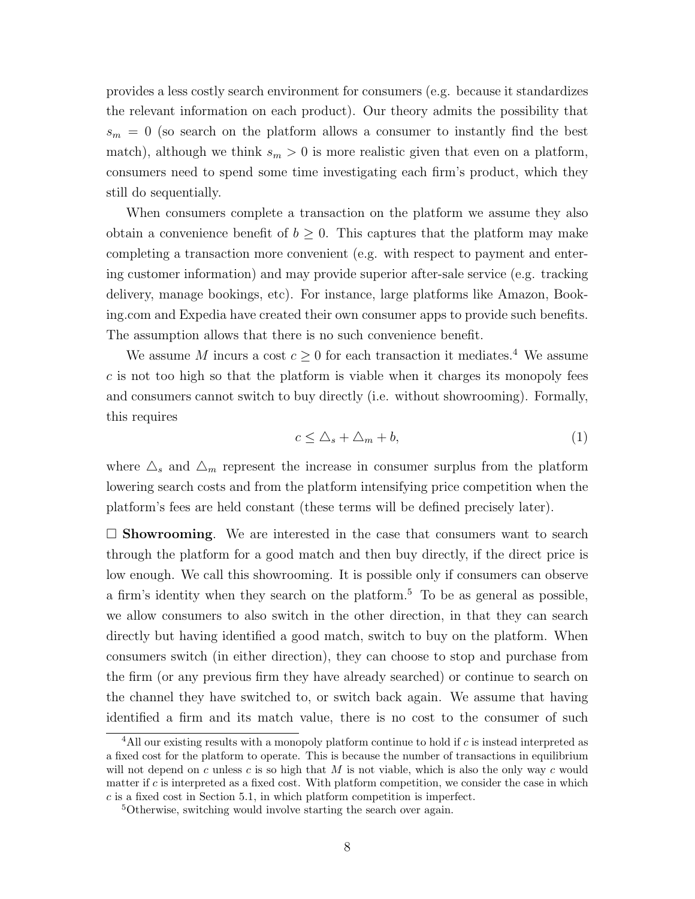provides a less costly search environment for consumers (e.g. because it standardizes the relevant information on each product). Our theory admits the possibility that  $s_m = 0$  (so search on the platform allows a consumer to instantly find the best match), although we think  $s_m > 0$  is more realistic given that even on a platform, consumers need to spend some time investigating each firm's product, which they still do sequentially.

When consumers complete a transaction on the platform we assume they also obtain a convenience benefit of  $b \geq 0$ . This captures that the platform may make completing a transaction more convenient (e.g. with respect to payment and entering customer information) and may provide superior after-sale service (e.g. tracking delivery, manage bookings, etc). For instance, large platforms like Amazon, Booking.com and Expedia have created their own consumer apps to provide such benefits. The assumption allows that there is no such convenience benefit.

We assume M incurs a cost  $c \geq 0$  for each transaction it mediates.<sup>[4](#page-7-0)</sup> We assume  $c$  is not too high so that the platform is viable when it charges its monopoly fees and consumers cannot switch to buy directly (i.e. without showrooming). Formally, this requires

<span id="page-7-2"></span>
$$
c \leq \Delta_s + \Delta_m + b,\tag{1}
$$

where  $\Delta_s$  and  $\Delta_m$  represent the increase in consumer surplus from the platform lowering search costs and from the platform intensifying price competition when the platform's fees are held constant (these terms will be defined precisely later).

 $\square$  Showrooming. We are interested in the case that consumers want to search through the platform for a good match and then buy directly, if the direct price is low enough. We call this showrooming. It is possible only if consumers can observe a firm's identity when they search on the platform.<sup>[5](#page-7-1)</sup> To be as general as possible, we allow consumers to also switch in the other direction, in that they can search directly but having identified a good match, switch to buy on the platform. When consumers switch (in either direction), they can choose to stop and purchase from the firm (or any previous firm they have already searched) or continue to search on the channel they have switched to, or switch back again. We assume that having identified a firm and its match value, there is no cost to the consumer of such

<span id="page-7-0"></span> $4$ All our existing results with a monopoly platform continue to hold if  $c$  is instead interpreted as a fixed cost for the platform to operate. This is because the number of transactions in equilibrium will not depend on c unless c is so high that M is not viable, which is also the only way c would matter if  $c$  is interpreted as a fixed cost. With platform competition, we consider the case in which  $c$  is a fixed cost in Section [5.1,](#page-28-0) in which platform competition is imperfect.

<span id="page-7-1"></span><sup>&</sup>lt;sup>5</sup>Otherwise, switching would involve starting the search over again.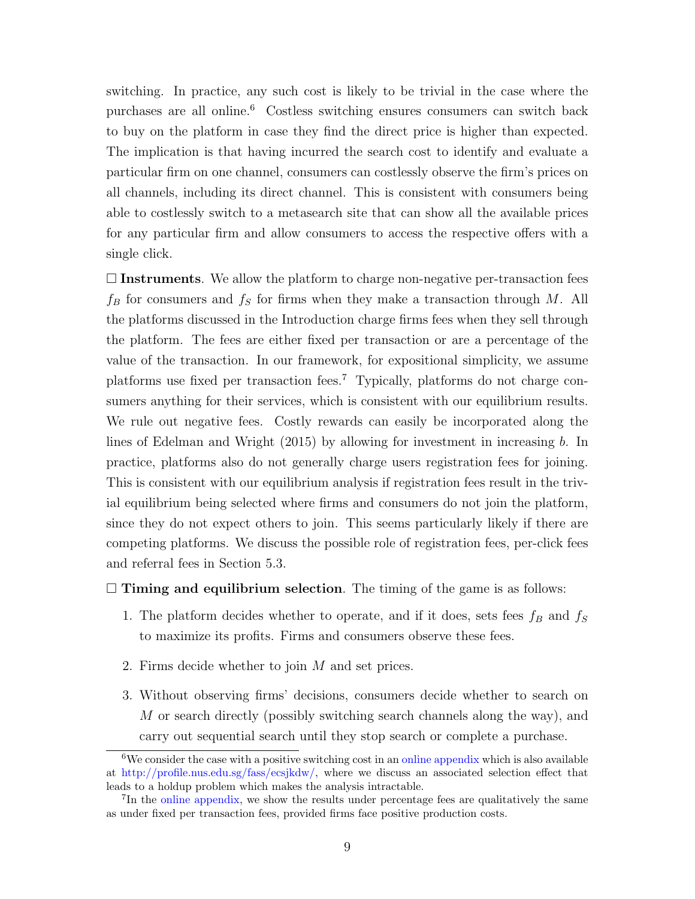switching. In practice, any such cost is likely to be trivial in the case where the purchases are all online.<sup>[6](#page-8-0)</sup> Costless switching ensures consumers can switch back to buy on the platform in case they find the direct price is higher than expected. The implication is that having incurred the search cost to identify and evaluate a particular firm on one channel, consumers can costlessly observe the firm's prices on all channels, including its direct channel. This is consistent with consumers being able to costlessly switch to a metasearch site that can show all the available prices for any particular firm and allow consumers to access the respective offers with a single click.

 $\Box$  Instruments. We allow the platform to charge non-negative per-transaction fees  $f_B$  for consumers and  $f_S$  for firms when they make a transaction through M. All the platforms discussed in the Introduction charge firms fees when they sell through the platform. The fees are either fixed per transaction or are a percentage of the value of the transaction. In our framework, for expositional simplicity, we assume platforms use fixed per transaction fees.[7](#page-8-1) Typically, platforms do not charge consumers anything for their services, which is consistent with our equilibrium results. We rule out negative fees. Costly rewards can easily be incorporated along the lines of Edelman and Wright (2015) by allowing for investment in increasing b. In practice, platforms also do not generally charge users registration fees for joining. This is consistent with our equilibrium analysis if registration fees result in the trivial equilibrium being selected where firms and consumers do not join the platform, since they do not expect others to join. This seems particularly likely if there are competing platforms. We discuss the possible role of registration fees, per-click fees and referral fees in Section [5.3.](#page-31-0)

#### $\Box$  Timing and equilibrium selection. The timing of the game is as follows:

- 1. The platform decides whether to operate, and if it does, sets fees  $f_B$  and  $f_S$ to maximize its profits. Firms and consumers observe these fees.
- 2. Firms decide whether to join M and set prices.
- 3. Without observing firms' decisions, consumers decide whether to search on M or search directly (possibly switching search channels along the way), and carry out sequential search until they stop search or complete a purchase.

<span id="page-8-0"></span><sup>&</sup>lt;sup>6</sup>We consider the case with a positive switching cost in an [online appendix](https://sites.google.com/site/wrighteconomics/home/research) which is also available at [http://profile.nus.edu.sg/fass/ecsjkdw/,](http://profile.nus.edu.sg/fass/ecsjkdw/) where we discuss an associated selection effect that leads to a holdup problem which makes the analysis intractable.

<span id="page-8-1"></span><sup>&</sup>lt;sup>7</sup>In the [online appendix,](https://sites.google.com/site/wrighteconomics/home/research) we show the results under percentage fees are qualitatively the same as under fixed per transaction fees, provided firms face positive production costs.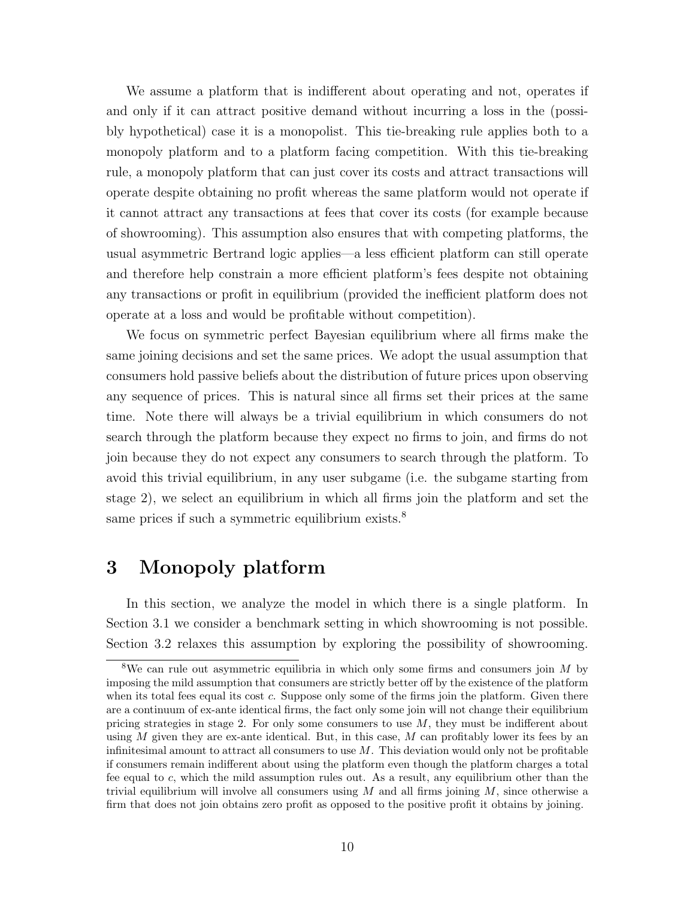We assume a platform that is indifferent about operating and not, operates if and only if it can attract positive demand without incurring a loss in the (possibly hypothetical) case it is a monopolist. This tie-breaking rule applies both to a monopoly platform and to a platform facing competition. With this tie-breaking rule, a monopoly platform that can just cover its costs and attract transactions will operate despite obtaining no profit whereas the same platform would not operate if it cannot attract any transactions at fees that cover its costs (for example because of showrooming). This assumption also ensures that with competing platforms, the usual asymmetric Bertrand logic applies—a less efficient platform can still operate and therefore help constrain a more efficient platform's fees despite not obtaining any transactions or profit in equilibrium (provided the inefficient platform does not operate at a loss and would be profitable without competition).

We focus on symmetric perfect Bayesian equilibrium where all firms make the same joining decisions and set the same prices. We adopt the usual assumption that consumers hold passive beliefs about the distribution of future prices upon observing any sequence of prices. This is natural since all firms set their prices at the same time. Note there will always be a trivial equilibrium in which consumers do not search through the platform because they expect no firms to join, and firms do not join because they do not expect any consumers to search through the platform. To avoid this trivial equilibrium, in any user subgame (i.e. the subgame starting from stage 2), we select an equilibrium in which all firms join the platform and set the same prices if such a symmetric equilibrium exists.<sup>[8](#page-9-0)</sup>

# 3 Monopoly platform

In this section, we analyze the model in which there is a single platform. In Section [3.1](#page-10-0) we consider a benchmark setting in which showrooming is not possible. Section [3.2](#page-17-0) relaxes this assumption by exploring the possibility of showrooming.

<span id="page-9-0"></span><sup>&</sup>lt;sup>8</sup>We can rule out asymmetric equilibria in which only some firms and consumers join  $M$  by imposing the mild assumption that consumers are strictly better off by the existence of the platform when its total fees equal its cost c. Suppose only some of the firms join the platform. Given there are a continuum of ex-ante identical firms, the fact only some join will not change their equilibrium pricing strategies in stage 2. For only some consumers to use  $M$ , they must be indifferent about using  $M$  given they are ex-ante identical. But, in this case,  $M$  can profitably lower its fees by an infinitesimal amount to attract all consumers to use  $M$ . This deviation would only not be profitable if consumers remain indifferent about using the platform even though the platform charges a total fee equal to c, which the mild assumption rules out. As a result, any equilibrium other than the trivial equilibrium will involve all consumers using  $M$  and all firms joining  $M$ , since otherwise a firm that does not join obtains zero profit as opposed to the positive profit it obtains by joining.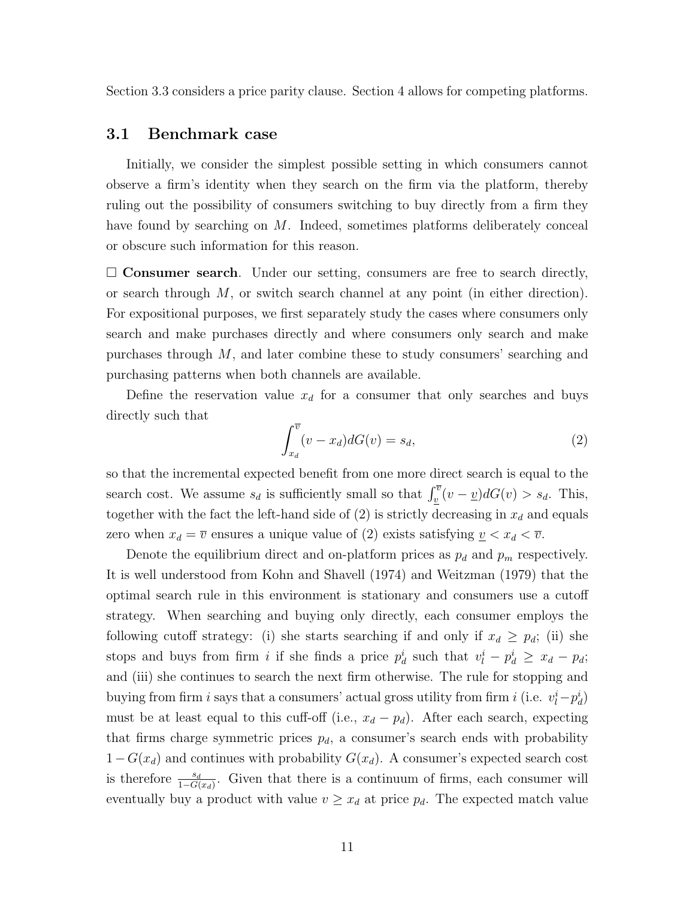Section [3.3](#page-19-0) considers a price parity clause. Section [4](#page-21-0) allows for competing platforms.

## <span id="page-10-0"></span>3.1 Benchmark case

Initially, we consider the simplest possible setting in which consumers cannot observe a firm's identity when they search on the firm via the platform, thereby ruling out the possibility of consumers switching to buy directly from a firm they have found by searching on M. Indeed, sometimes platforms deliberately conceal or obscure such information for this reason.

 $\square$  Consumer search. Under our setting, consumers are free to search directly, or search through  $M$ , or switch search channel at any point (in either direction). For expositional purposes, we first separately study the cases where consumers only search and make purchases directly and where consumers only search and make purchases through M, and later combine these to study consumers' searching and purchasing patterns when both channels are available.

Define the reservation value  $x_d$  for a consumer that only searches and buys directly such that

<span id="page-10-1"></span>
$$
\int_{x_d}^{\overline{v}} (v - x_d) dG(v) = s_d,
$$
\n(2)

so that the incremental expected benefit from one more direct search is equal to the search cost. We assume  $s_d$  is sufficiently small so that  $\int_v^{\overline{v}} (v - \underline{v}) dG(v) > s_d$ . This, together with the fact the left-hand side of  $(2)$  is strictly decreasing in  $x_d$  and equals zero when  $x_d = \overline{v}$  ensures a unique value of [\(2\)](#page-10-1) exists satisfying  $\underline{v} < x_d < \overline{v}$ .

Denote the equilibrium direct and on-platform prices as  $p_d$  and  $p_m$  respectively. It is well understood from Kohn and Shavell (1974) and Weitzman (1979) that the optimal search rule in this environment is stationary and consumers use a cutoff strategy. When searching and buying only directly, each consumer employs the following cutoff strategy: (i) she starts searching if and only if  $x_d \geq p_d$ ; (ii) she stops and buys from firm i if she finds a price  $p_d^i$  such that  $v_l^i - p_d^i \ge x_d - p_d$ ; and (iii) she continues to search the next firm otherwise. The rule for stopping and buying from firm i says that a consumers' actual gross utility from firm i (i.e.  $v_l^i - p_d^i$ ) must be at least equal to this cuff-off (i.e.,  $x_d - p_d$ ). After each search, expecting that firms charge symmetric prices  $p_d$ , a consumer's search ends with probability  $1-G(x_d)$  and continues with probability  $G(x_d)$ . A consumer's expected search cost is therefore  $\frac{s_d}{1-G(x_d)}$ . Given that there is a continuum of firms, each consumer will eventually buy a product with value  $v \geq x_d$  at price  $p_d$ . The expected match value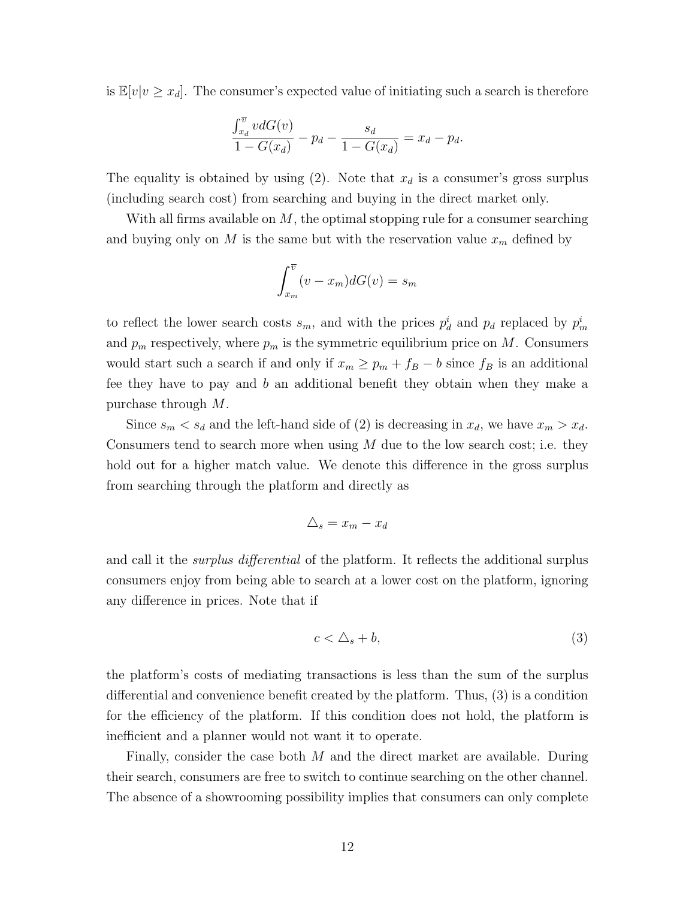is  $\mathbb{E}[v|v \geq x_d]$ . The consumer's expected value of initiating such a search is therefore

$$
\frac{\int_{x_d}^{\overline{v}} v dG(v)}{1 - G(x_d)} - p_d - \frac{s_d}{1 - G(x_d)} = x_d - p_d.
$$

The equality is obtained by using [\(2\)](#page-10-1). Note that  $x_d$  is a consumer's gross surplus (including search cost) from searching and buying in the direct market only.

With all firms available on  $M$ , the optimal stopping rule for a consumer searching and buying only on M is the same but with the reservation value  $x_m$  defined by

$$
\int_{x_m}^{\overline{v}} (v - x_m) dG(v) = s_m
$$

to reflect the lower search costs  $s_m$ , and with the prices  $p_d^i$  and  $p_d$  replaced by  $p_m^i$ and  $p_m$  respectively, where  $p_m$  is the symmetric equilibrium price on M. Consumers would start such a search if and only if  $x_m \geq p_m + f_B - b$  since  $f_B$  is an additional fee they have to pay and b an additional benefit they obtain when they make a purchase through M.

Since  $s_m < s_d$  and the left-hand side of [\(2\)](#page-10-1) is decreasing in  $x_d$ , we have  $x_m > x_d$ . Consumers tend to search more when using  $M$  due to the low search cost; i.e. they hold out for a higher match value. We denote this difference in the gross surplus from searching through the platform and directly as

$$
\triangle_s = x_m - x_d
$$

and call it the *surplus differential* of the platform. It reflects the additional surplus consumers enjoy from being able to search at a lower cost on the platform, ignoring any difference in prices. Note that if

<span id="page-11-0"></span>
$$
c < \Delta_s + b,\tag{3}
$$

the platform's costs of mediating transactions is less than the sum of the surplus differential and convenience benefit created by the platform. Thus, [\(3\)](#page-11-0) is a condition for the efficiency of the platform. If this condition does not hold, the platform is inefficient and a planner would not want it to operate.

Finally, consider the case both M and the direct market are available. During their search, consumers are free to switch to continue searching on the other channel. The absence of a showrooming possibility implies that consumers can only complete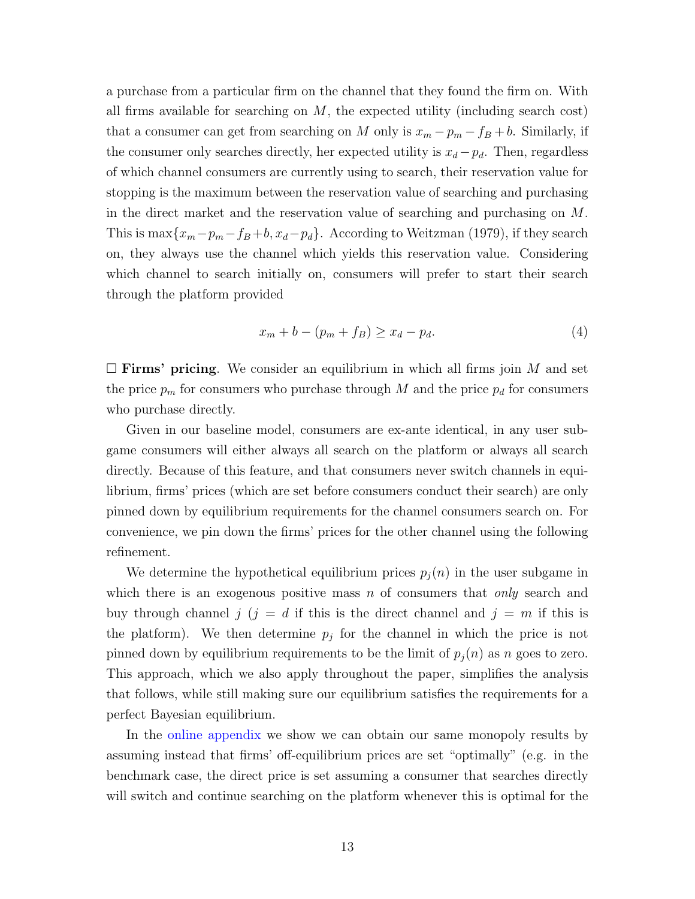a purchase from a particular firm on the channel that they found the firm on. With all firms available for searching on  $M$ , the expected utility (including search cost) that a consumer can get from searching on M only is  $x_m - p_m - f_B + b$ . Similarly, if the consumer only searches directly, her expected utility is  $x_d - p_d$ . Then, regardless of which channel consumers are currently using to search, their reservation value for stopping is the maximum between the reservation value of searching and purchasing in the direct market and the reservation value of searching and purchasing on M. This is  $\max\{x_m-p_m-f_B+b, x_d-p_d\}$ . According to Weitzman (1979), if they search on, they always use the channel which yields this reservation value. Considering which channel to search initially on, consumers will prefer to start their search through the platform provided

<span id="page-12-0"></span>
$$
x_m + b - (p_m + f_B) \ge x_d - p_d. \tag{4}
$$

 $\Box$  **Firms' pricing**. We consider an equilibrium in which all firms join M and set the price  $p_m$  for consumers who purchase through M and the price  $p_d$  for consumers who purchase directly.

Given in our baseline model, consumers are ex-ante identical, in any user subgame consumers will either always all search on the platform or always all search directly. Because of this feature, and that consumers never switch channels in equilibrium, firms' prices (which are set before consumers conduct their search) are only pinned down by equilibrium requirements for the channel consumers search on. For convenience, we pin down the firms' prices for the other channel using the following refinement.

We determine the hypothetical equilibrium prices  $p_j(n)$  in the user subgame in which there is an exogenous positive mass n of consumers that only search and buy through channel j  $(j = d$  if this is the direct channel and  $j = m$  if this is the platform). We then determine  $p_j$  for the channel in which the price is not pinned down by equilibrium requirements to be the limit of  $p_i(n)$  as n goes to zero. This approach, which we also apply throughout the paper, simplifies the analysis that follows, while still making sure our equilibrium satisfies the requirements for a perfect Bayesian equilibrium.

In the [online appendix](https://sites.google.com/site/wrighteconomics/home/research) we show we can obtain our same monopoly results by assuming instead that firms' off-equilibrium prices are set "optimally" (e.g. in the benchmark case, the direct price is set assuming a consumer that searches directly will switch and continue searching on the platform whenever this is optimal for the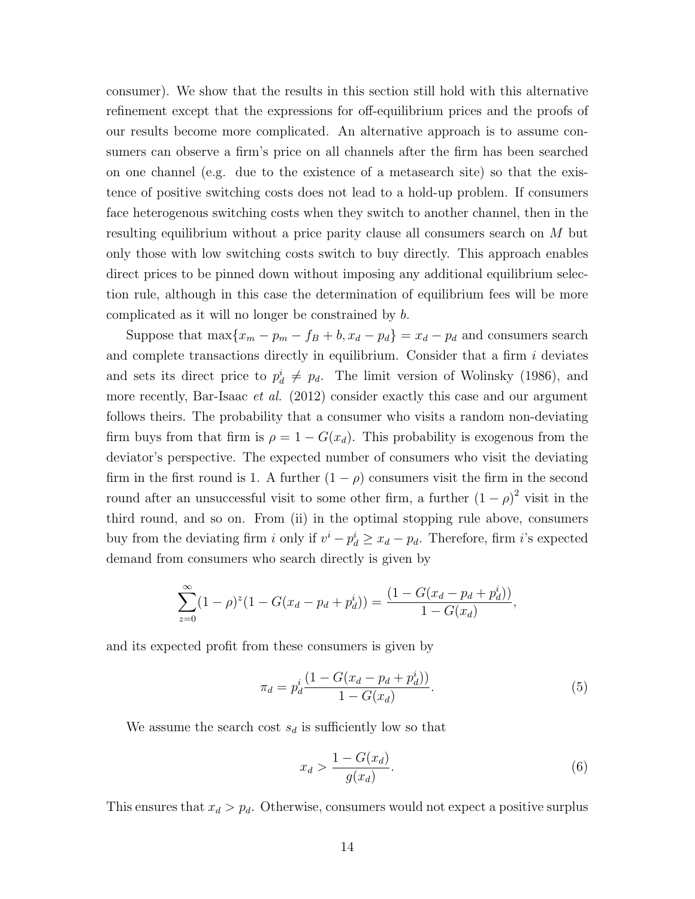consumer). We show that the results in this section still hold with this alternative refinement except that the expressions for off-equilibrium prices and the proofs of our results become more complicated. An alternative approach is to assume consumers can observe a firm's price on all channels after the firm has been searched on one channel (e.g. due to the existence of a metasearch site) so that the existence of positive switching costs does not lead to a hold-up problem. If consumers face heterogenous switching costs when they switch to another channel, then in the resulting equilibrium without a price parity clause all consumers search on M but only those with low switching costs switch to buy directly. This approach enables direct prices to be pinned down without imposing any additional equilibrium selection rule, although in this case the determination of equilibrium fees will be more complicated as it will no longer be constrained by b.

Suppose that  $\max\{x_m - p_m - f_B + b, x_d - p_d\} = x_d - p_d$  and consumers search and complete transactions directly in equilibrium. Consider that a firm  $i$  deviates and sets its direct price to  $p_d^i \neq p_d$ . The limit version of Wolinsky (1986), and more recently, Bar-Isaac *et al.* (2012) consider exactly this case and our argument follows theirs. The probability that a consumer who visits a random non-deviating firm buys from that firm is  $\rho = 1 - G(x_d)$ . This probability is exogenous from the deviator's perspective. The expected number of consumers who visit the deviating firm in the first round is 1. A further  $(1 - \rho)$  consumers visit the firm in the second round after an unsuccessful visit to some other firm, a further  $(1 - \rho)^2$  visit in the third round, and so on. From (ii) in the optimal stopping rule above, consumers buy from the deviating firm i only if  $v^i - p_d^i \ge x_d - p_d$ . Therefore, firm i's expected demand from consumers who search directly is given by

$$
\sum_{z=0}^{\infty} (1 - \rho)^{z} (1 - G(x_d - p_d + p_d^i)) = \frac{(1 - G(x_d - p_d + p_d^i))}{1 - G(x_d)}
$$

and its expected profit from these consumers is given by

<span id="page-13-0"></span>
$$
\pi_d = p_d^i \frac{(1 - G(x_d - p_d + p_d^i))}{1 - G(x_d)}.
$$
\n(5)

We assume the search cost  $s_d$  is sufficiently low so that

<span id="page-13-1"></span>
$$
x_d > \frac{1 - G(x_d)}{g(x_d)}.\tag{6}
$$

,

This ensures that  $x_d > p_d$ . Otherwise, consumers would not expect a positive surplus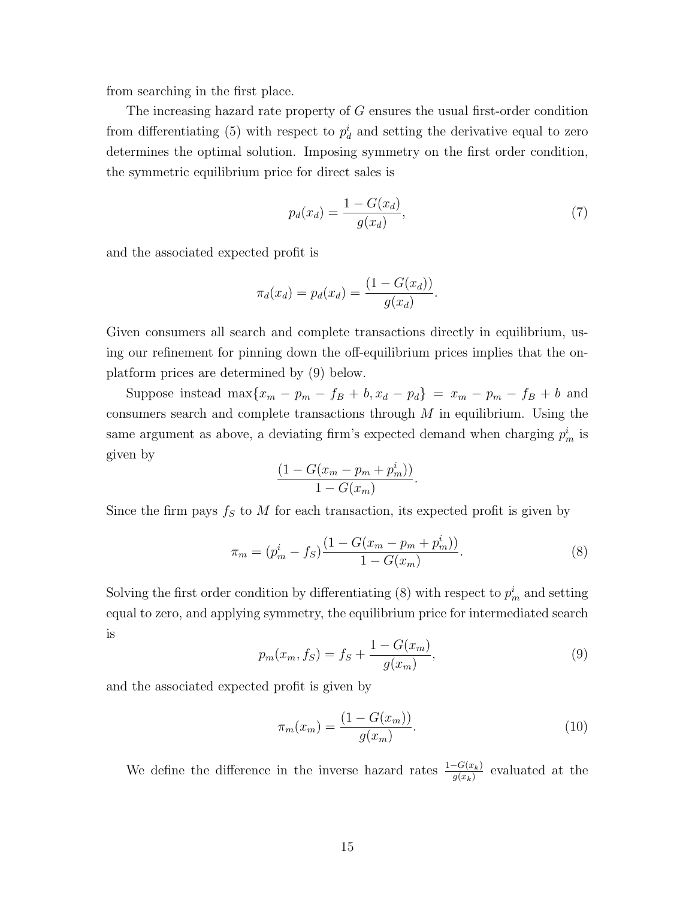from searching in the first place.

The increasing hazard rate property of G ensures the usual first-order condition from differentiating [\(5\)](#page-13-0) with respect to  $p_d^i$  and setting the derivative equal to zero determines the optimal solution. Imposing symmetry on the first order condition, the symmetric equilibrium price for direct sales is

<span id="page-14-2"></span>
$$
p_d(x_d) = \frac{1 - G(x_d)}{g(x_d)},
$$
\n(7)

and the associated expected profit is

$$
\pi_d(x_d) = p_d(x_d) = \frac{(1 - G(x_d))}{g(x_d)}.
$$

Given consumers all search and complete transactions directly in equilibrium, using our refinement for pinning down the off-equilibrium prices implies that the onplatform prices are determined by [\(9\)](#page-14-0) below.

Suppose instead max ${x_m - p_m - f_B + b, x_d - p_d} = x_m - p_m - f_B + b$  and consumers search and complete transactions through  $M$  in equilibrium. Using the same argument as above, a deviating firm's expected demand when charging  $p_m^i$  is given by

$$
\frac{\left(1-G(x_m-p_m+p_m^i)\right)}{1-G(x_m)}.
$$

Since the firm pays  $f_S$  to M for each transaction, its expected profit is given by

<span id="page-14-1"></span>
$$
\pi_m = (p_m^i - f_S) \frac{(1 - G(x_m - p_m + p_m^i))}{1 - G(x_m)}.
$$
\n(8)

Solving the first order condition by differentiating [\(8\)](#page-14-1) with respect to  $p_m^i$  and setting equal to zero, and applying symmetry, the equilibrium price for intermediated search is

<span id="page-14-0"></span>
$$
p_m(x_m, f_S) = f_S + \frac{1 - G(x_m)}{g(x_m)},
$$
\n(9)

and the associated expected profit is given by

<span id="page-14-3"></span>
$$
\pi_m(x_m) = \frac{(1 - G(x_m))}{g(x_m)}.
$$
\n(10)

We define the difference in the inverse hazard rates  $\frac{1-G(x_k)}{g(x_k)}$  evaluated at the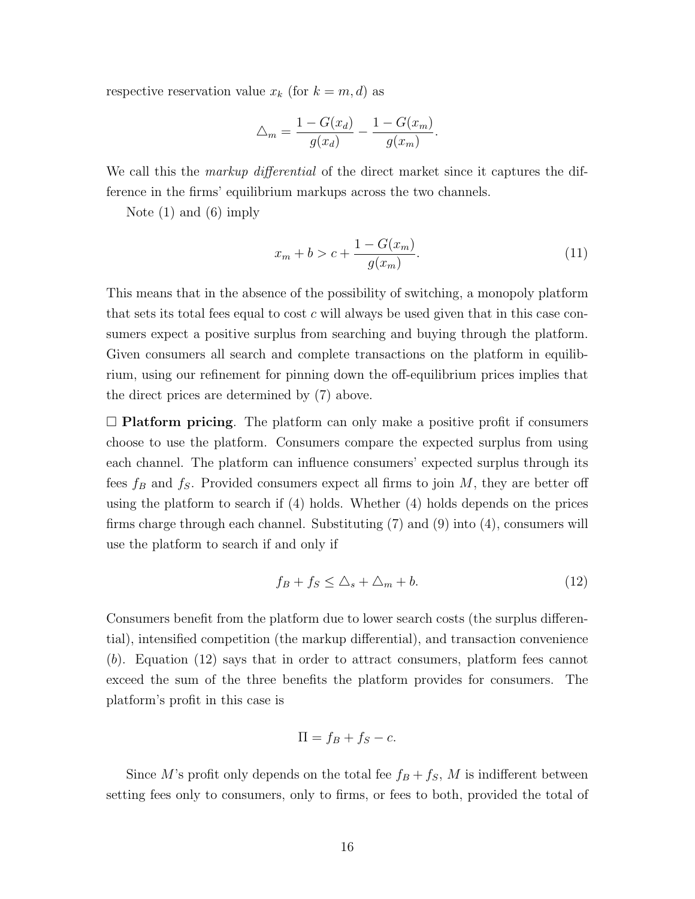respective reservation value  $x_k$  (for  $k = m, d$ ) as

$$
\triangle_m = \frac{1 - G(x_d)}{g(x_d)} - \frac{1 - G(x_m)}{g(x_m)}.
$$

We call this the *markup differential* of the direct market since it captures the difference in the firms' equilibrium markups across the two channels.

Note [\(1\)](#page-7-2) and [\(6\)](#page-13-1) imply

<span id="page-15-1"></span>
$$
x_m + b > c + \frac{1 - G(x_m)}{g(x_m)}.
$$
\n(11)

This means that in the absence of the possibility of switching, a monopoly platform that sets its total fees equal to cost c will always be used given that in this case consumers expect a positive surplus from searching and buying through the platform. Given consumers all search and complete transactions on the platform in equilibrium, using our refinement for pinning down the off-equilibrium prices implies that the direct prices are determined by [\(7\)](#page-14-2) above.

 $\Box$  Platform pricing. The platform can only make a positive profit if consumers choose to use the platform. Consumers compare the expected surplus from using each channel. The platform can influence consumers' expected surplus through its fees  $f_B$  and  $f_S$ . Provided consumers expect all firms to join M, they are better off using the platform to search if [\(4\)](#page-12-0) holds. Whether [\(4\)](#page-12-0) holds depends on the prices firms charge through each channel. Substituting [\(7\)](#page-14-2) and [\(9\)](#page-14-0) into [\(4\)](#page-12-0), consumers will use the platform to search if and only if

<span id="page-15-0"></span>
$$
f_B + f_S \le \Delta_s + \Delta_m + b. \tag{12}
$$

Consumers benefit from the platform due to lower search costs (the surplus differential), intensified competition (the markup differential), and transaction convenience (b). Equation [\(12\)](#page-15-0) says that in order to attract consumers, platform fees cannot exceed the sum of the three benefits the platform provides for consumers. The platform's profit in this case is

$$
\Pi = f_B + f_S - c.
$$

Since M's profit only depends on the total fee  $f_B + f_S$ , M is indifferent between setting fees only to consumers, only to firms, or fees to both, provided the total of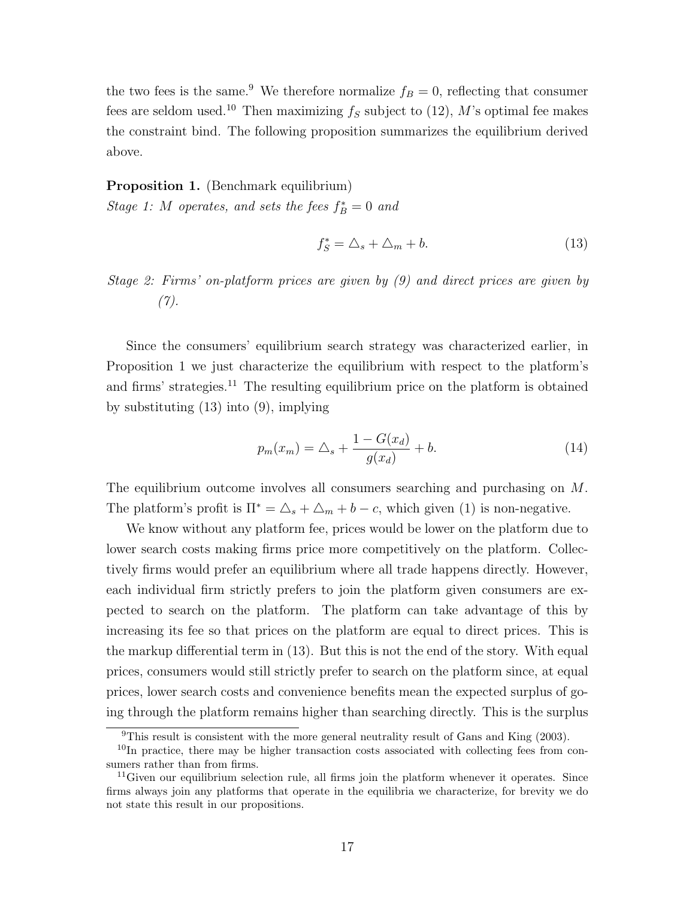the two fees is the same.<sup>[9](#page-16-0)</sup> We therefore normalize  $f_B = 0$ , reflecting that consumer fees are seldom used.<sup>[10](#page-16-1)</sup> Then maximizing  $f_s$  subject to [\(12\)](#page-15-0), M's optimal fee makes the constraint bind. The following proposition summarizes the equilibrium derived above.

#### <span id="page-16-2"></span>Proposition 1. (Benchmark equilibrium)

Stage 1: M operates, and sets the fees  $f_B^* = 0$  and

<span id="page-16-4"></span>
$$
f_S^* = \Delta_s + \Delta_m + b. \tag{13}
$$

Stage 2: Firms' on-platform prices are given by [\(9\)](#page-14-0) and direct prices are given by  $(7).$  $(7).$ 

Since the consumers' equilibrium search strategy was characterized earlier, in Proposition [1](#page-16-2) we just characterize the equilibrium with respect to the platform's and firms' strategies.<sup>[11](#page-16-3)</sup> The resulting equilibrium price on the platform is obtained by substituting [\(13\)](#page-16-4) into [\(9\)](#page-14-0), implying

<span id="page-16-5"></span>
$$
p_m(x_m) = \Delta_s + \frac{1 - G(x_d)}{g(x_d)} + b. \tag{14}
$$

The equilibrium outcome involves all consumers searching and purchasing on M. The platform's profit is  $\Pi^* = \Delta_s + \Delta_m + b - c$ , which given [\(1\)](#page-7-2) is non-negative.

We know without any platform fee, prices would be lower on the platform due to lower search costs making firms price more competitively on the platform. Collectively firms would prefer an equilibrium where all trade happens directly. However, each individual firm strictly prefers to join the platform given consumers are expected to search on the platform. The platform can take advantage of this by increasing its fee so that prices on the platform are equal to direct prices. This is the markup differential term in [\(13\)](#page-16-4). But this is not the end of the story. With equal prices, consumers would still strictly prefer to search on the platform since, at equal prices, lower search costs and convenience benefits mean the expected surplus of going through the platform remains higher than searching directly. This is the surplus

<span id="page-16-1"></span><span id="page-16-0"></span> $9$ This result is consistent with the more general neutrality result of Gans and King (2003).

 $10$ In practice, there may be higher transaction costs associated with collecting fees from consumers rather than from firms.

<span id="page-16-3"></span> $11$  Given our equilibrium selection rule, all firms join the platform whenever it operates. Since firms always join any platforms that operate in the equilibria we characterize, for brevity we do not state this result in our propositions.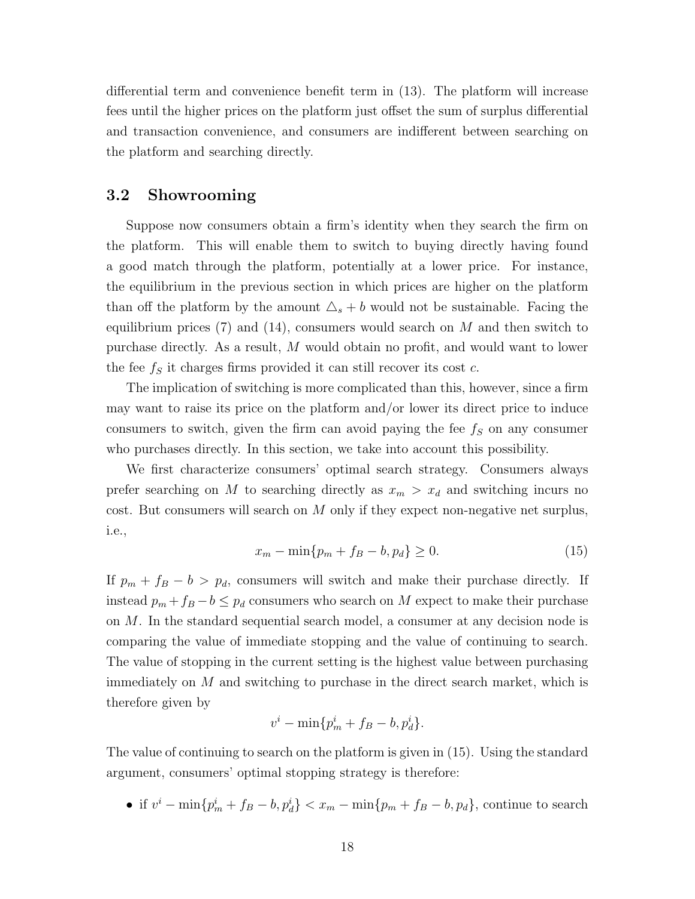differential term and convenience benefit term in [\(13\)](#page-16-4). The platform will increase fees until the higher prices on the platform just offset the sum of surplus differential and transaction convenience, and consumers are indifferent between searching on the platform and searching directly.

## <span id="page-17-0"></span>3.2 Showrooming

Suppose now consumers obtain a firm's identity when they search the firm on the platform. This will enable them to switch to buying directly having found a good match through the platform, potentially at a lower price. For instance, the equilibrium in the previous section in which prices are higher on the platform than off the platform by the amount  $\Delta_s + b$  would not be sustainable. Facing the equilibrium prices [\(7\)](#page-14-2) and [\(14\)](#page-16-5), consumers would search on  $M$  and then switch to purchase directly. As a result, M would obtain no profit, and would want to lower the fee  $f<sub>S</sub>$  it charges firms provided it can still recover its cost c.

The implication of switching is more complicated than this, however, since a firm may want to raise its price on the platform and/or lower its direct price to induce consumers to switch, given the firm can avoid paying the fee  $f<sub>S</sub>$  on any consumer who purchases directly. In this section, we take into account this possibility.

We first characterize consumers' optimal search strategy. Consumers always prefer searching on M to searching directly as  $x_m > x_d$  and switching incurs no cost. But consumers will search on M only if they expect non-negative net surplus, i.e.,

<span id="page-17-1"></span>
$$
x_m - \min\{p_m + f_B - b, p_d\} \ge 0.
$$
 (15)

If  $p_m + f_B - b > p_d$ , consumers will switch and make their purchase directly. If instead  $p_m + f_B - b \leq p_d$  consumers who search on M expect to make their purchase on M. In the standard sequential search model, a consumer at any decision node is comparing the value of immediate stopping and the value of continuing to search. The value of stopping in the current setting is the highest value between purchasing immediately on M and switching to purchase in the direct search market, which is therefore given by

$$
v^i - \min\{p_m^i + f_B - b, p_d^i\}.
$$

The value of continuing to search on the platform is given in [\(15\)](#page-17-1). Using the standard argument, consumers' optimal stopping strategy is therefore:

• if  $v^{i} - \min\{p_{m}^{i} + f_{B} - b, p_{d}^{i}\} < x_{m} - \min\{p_{m} + f_{B} - b, p_{d}\}\text{, continue to search }$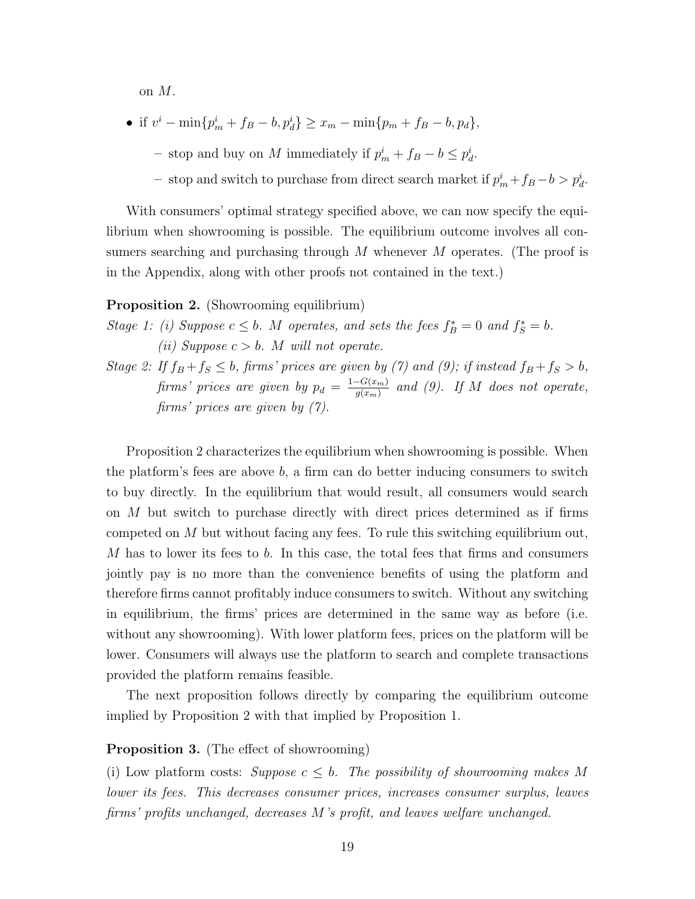on M.

- if  $v^i \min\{p_m^i + f_B b, p_d^i\} \ge x_m \min\{p_m + f_B b, p_d\},\$ 
	- stop and buy on M immediately if  $p_m^i + f_B b \leq p_d^i$ .
	- − stop and switch to purchase from direct search market if  $p_m^i + f_B b > p_d^i$ .

With consumers' optimal strategy specified above, we can now specify the equilibrium when showrooming is possible. The equilibrium outcome involves all consumers searching and purchasing through M whenever M operates. (The proof is in the Appendix, along with other proofs not contained in the text.)

### <span id="page-18-0"></span>Proposition 2. (Showrooming equilibrium)

- Stage 1: (i) Suppose  $c \leq b$ . M operates, and sets the fees  $f_B^* = 0$  and  $f_S^* = b$ . (*ii*) Suppose  $c > b$ . M will not operate.
- Stage 2: If  $f_B + f_S \le b$ , firms' prices are given by [\(7\)](#page-14-2) and [\(9\)](#page-14-0); if instead  $f_B + f_S > b$ , firms' prices are given by  $p_d = \frac{1-G(x_m)}{g(x_m)}$  $\frac{G(x_m)}{g(x_m)}$  and [\(9\)](#page-14-0). If M does not operate, firms' prices are given by [\(7\)](#page-14-2).

Proposition [2](#page-18-0) characterizes the equilibrium when showrooming is possible. When the platform's fees are above b, a firm can do better inducing consumers to switch to buy directly. In the equilibrium that would result, all consumers would search on  $M$  but switch to purchase directly with direct prices determined as if firms competed on  $M$  but without facing any fees. To rule this switching equilibrium out, M has to lower its fees to b. In this case, the total fees that firms and consumers jointly pay is no more than the convenience benefits of using the platform and therefore firms cannot profitably induce consumers to switch. Without any switching in equilibrium, the firms' prices are determined in the same way as before (i.e. without any showrooming). With lower platform fees, prices on the platform will be lower. Consumers will always use the platform to search and complete transactions provided the platform remains feasible.

The next proposition follows directly by comparing the equilibrium outcome implied by Proposition [2](#page-18-0) with that implied by Proposition [1.](#page-16-2)

#### <span id="page-18-1"></span>Proposition 3. (The effect of showrooming)

(i) Low platform costs: Suppose  $c \leq b$ . The possibility of showrooming makes M lower its fees. This decreases consumer prices, increases consumer surplus, leaves firms' profits unchanged, decreases M's profit, and leaves welfare unchanged.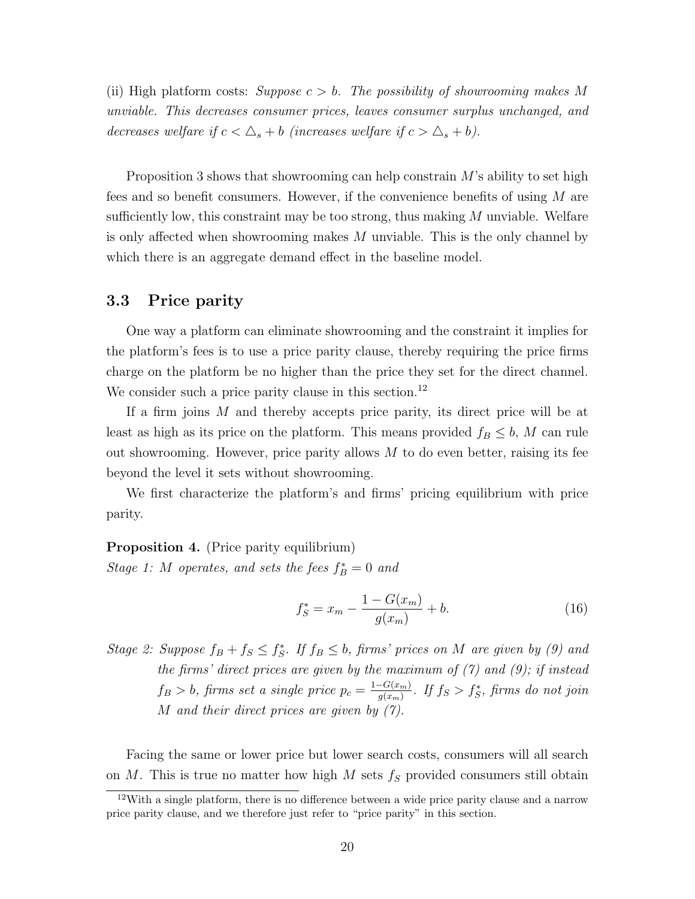(ii) High platform costs: Suppose  $c > b$ . The possibility of showrooming makes M unviable. This decreases consumer prices, leaves consumer surplus unchanged, and decreases welfare if  $c < \Delta_s + b$  (increases welfare if  $c > \Delta_s + b$ ).

Proposition [3](#page-18-1) shows that showrooming can help constrain M's ability to set high fees and so benefit consumers. However, if the convenience benefits of using  $M$  are sufficiently low, this constraint may be too strong, thus making  $M$  unviable. Welfare is only affected when showrooming makes M unviable. This is the only channel by which there is an aggregate demand effect in the baseline model.

## <span id="page-19-0"></span>3.3 Price parity

One way a platform can eliminate showrooming and the constraint it implies for the platform's fees is to use a price parity clause, thereby requiring the price firms charge on the platform be no higher than the price they set for the direct channel. We consider such a price parity clause in this section.<sup>[12](#page-19-1)</sup>

If a firm joins M and thereby accepts price parity, its direct price will be at least as high as its price on the platform. This means provided  $f_B \leq b$ , M can rule out showrooming. However, price parity allows  $M$  to do even better, raising its fee beyond the level it sets without showrooming.

We first characterize the platform's and firms' pricing equilibrium with price parity.

<span id="page-19-2"></span>Proposition 4. (Price parity equilibrium)

Stage 1: M operates, and sets the fees  $f_B^* = 0$  and

<span id="page-19-3"></span>
$$
f_S^* = x_m - \frac{1 - G(x_m)}{g(x_m)} + b.
$$
 (16)

Stage 2: Suppose  $f_B + f_S \leq f_S^*$ . If  $f_B \leq b$ , firms' prices on M are given by [\(9\)](#page-14-0) and the firms' direct prices are given by the maximum of  $(7)$  and  $(9)$ ; if instead  $f_B > b$ , firms set a single price  $p_c = \frac{1-G(x_m)}{g(x_m)}$  $\frac{-G(x_m)}{g(x_m)}$ . If  $f_S > f_S^*$ , firms do not join M and their direct prices are given by [\(7\)](#page-14-2).

Facing the same or lower price but lower search costs, consumers will all search on M. This is true no matter how high M sets  $f<sub>S</sub>$  provided consumers still obtain

<span id="page-19-1"></span> $12$ With a single platform, there is no difference between a wide price parity clause and a narrow price parity clause, and we therefore just refer to "price parity" in this section.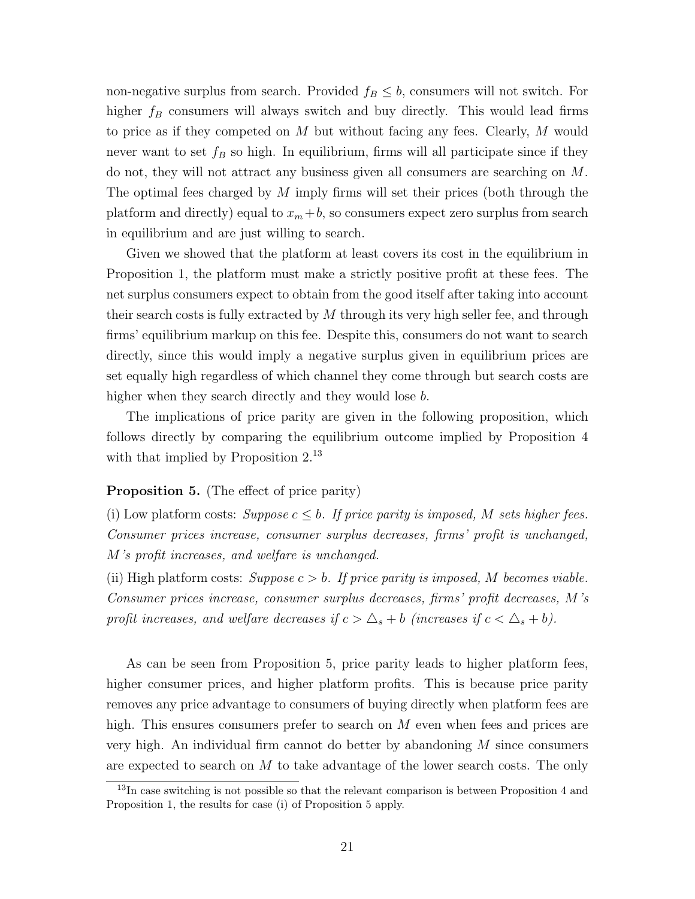non-negative surplus from search. Provided  $f_B \leq b$ , consumers will not switch. For higher  $f_B$  consumers will always switch and buy directly. This would lead firms to price as if they competed on M but without facing any fees. Clearly, M would never want to set  $f_B$  so high. In equilibrium, firms will all participate since if they do not, they will not attract any business given all consumers are searching on M. The optimal fees charged by  $M$  imply firms will set their prices (both through the platform and directly) equal to  $x_m + b$ , so consumers expect zero surplus from search in equilibrium and are just willing to search.

Given we showed that the platform at least covers its cost in the equilibrium in Proposition [1,](#page-16-2) the platform must make a strictly positive profit at these fees. The net surplus consumers expect to obtain from the good itself after taking into account their search costs is fully extracted by  $M$  through its very high seller fee, and through firms' equilibrium markup on this fee. Despite this, consumers do not want to search directly, since this would imply a negative surplus given in equilibrium prices are set equally high regardless of which channel they come through but search costs are higher when they search directly and they would lose b.

The implications of price parity are given in the following proposition, which follows directly by comparing the equilibrium outcome implied by Proposition [4](#page-19-2) with that implied by Proposition [2.](#page-18-0)<sup>[13](#page-20-0)</sup>

#### <span id="page-20-1"></span>Proposition 5. (The effect of price parity)

(i) Low platform costs: Suppose  $c \leq b$ . If price parity is imposed, M sets higher fees. Consumer prices increase, consumer surplus decreases, firms' profit is unchanged, M's profit increases, and welfare is unchanged.

(ii) High platform costs: Suppose  $c > b$ . If price parity is imposed, M becomes viable. Consumer prices increase, consumer surplus decreases, firms' profit decreases, M's profit increases, and welfare decreases if  $c > \Delta_s + b$  (increases if  $c < \Delta_s + b$ ).

As can be seen from Proposition [5,](#page-20-1) price parity leads to higher platform fees, higher consumer prices, and higher platform profits. This is because price parity removes any price advantage to consumers of buying directly when platform fees are high. This ensures consumers prefer to search on  $M$  even when fees and prices are very high. An individual firm cannot do better by abandoning M since consumers are expected to search on  $M$  to take advantage of the lower search costs. The only

<span id="page-20-0"></span><sup>&</sup>lt;sup>13</sup>In case switching is not possible so that the relevant comparison is between Proposition [4](#page-19-2) and Proposition [1,](#page-16-2) the results for case (i) of Proposition [5](#page-20-1) apply.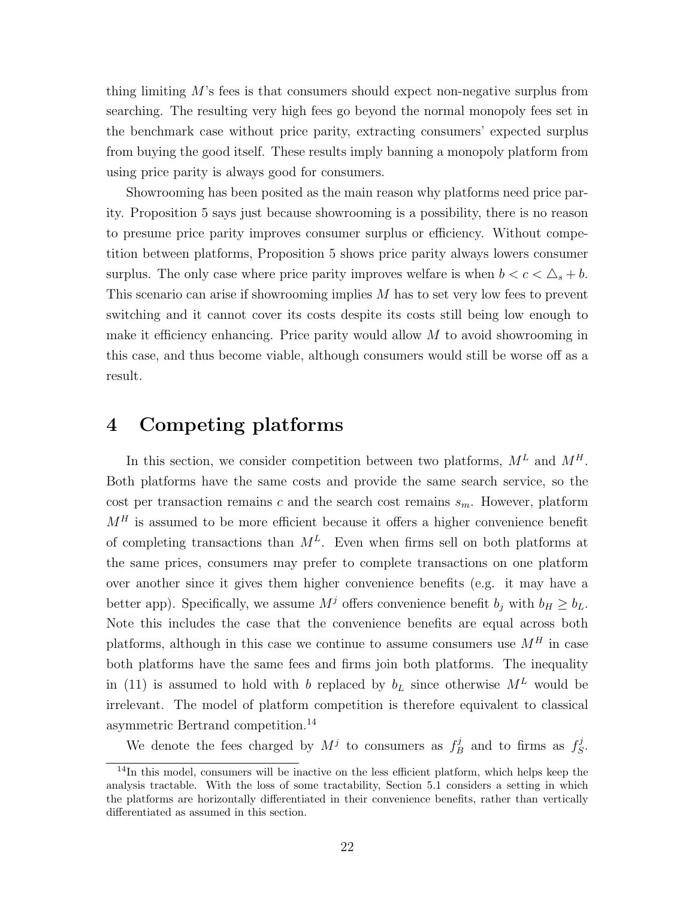thing limiting  $M$ 's fees is that consumers should expect non-negative surplus from searching. The resulting very high fees go beyond the normal monopoly fees set in the benchmark case without price parity, extracting consumers' expected surplus from buying the good itself. These results imply banning a monopoly platform from using price parity is always good for consumers.

Showrooming has been posited as the main reason why platforms need price parity. Proposition [5](#page-20-1) says just because showrooming is a possibility, there is no reason to presume price parity improves consumer surplus or efficiency. Without competition between platforms, Proposition [5](#page-20-1) shows price parity always lowers consumer surplus. The only case where price parity improves welfare is when  $b < c < \Delta_s + b$ . This scenario can arise if showrooming implies M has to set very low fees to prevent switching and it cannot cover its costs despite its costs still being low enough to make it efficiency enhancing. Price parity would allow  $M$  to avoid showrooming in this case, and thus become viable, although consumers would still be worse off as a result.

# <span id="page-21-0"></span>4 Competing platforms

In this section, we consider competition between two platforms,  $M^L$  and  $M^H$ . Both platforms have the same costs and provide the same search service, so the cost per transaction remains c and the search cost remains  $s_m$ . However, platform  $M<sup>H</sup>$  is assumed to be more efficient because it offers a higher convenience benefit of completing transactions than  $M<sup>L</sup>$ . Even when firms sell on both platforms at the same prices, consumers may prefer to complete transactions on one platform over another since it gives them higher convenience benefits (e.g. it may have a better app). Specifically, we assume  $M^j$  offers convenience benefit  $b_j$  with  $b_H \geq b_L$ . Note this includes the case that the convenience benefits are equal across both platforms, although in this case we continue to assume consumers use  $M^H$  in case both platforms have the same fees and firms join both platforms. The inequality in [\(11\)](#page-15-1) is assumed to hold with b replaced by  $b<sub>L</sub>$  since otherwise  $M<sup>L</sup>$  would be irrelevant. The model of platform competition is therefore equivalent to classical asymmetric Bertrand competition.[14](#page-21-1)

We denote the fees charged by  $M^j$  to consumers as  $f^j$  $\mathcal{L}_B^{j}$  and to firms as  $f_S^j$  $^{\cdot \jmath}_S.$ 

<span id="page-21-1"></span><sup>&</sup>lt;sup>14</sup>In this model, consumers will be inactive on the less efficient platform, which helps keep the analysis tractable. With the loss of some tractability, Section [5.1](#page-28-0) considers a setting in which the platforms are horizontally differentiated in their convenience benefits, rather than vertically differentiated as assumed in this section.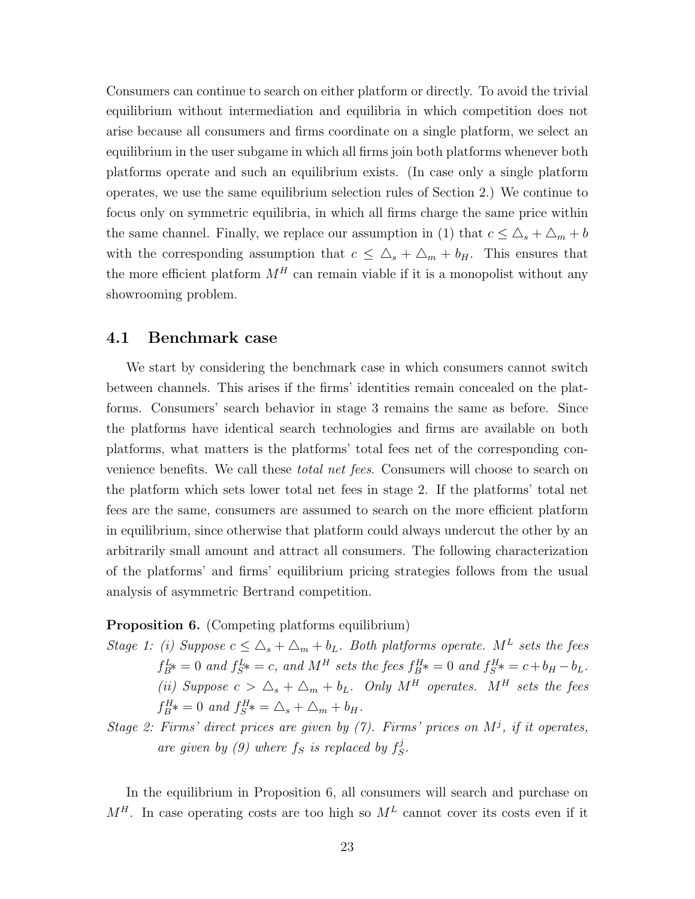Consumers can continue to search on either platform or directly. To avoid the trivial equilibrium without intermediation and equilibria in which competition does not arise because all consumers and firms coordinate on a single platform, we select an equilibrium in the user subgame in which all firms join both platforms whenever both platforms operate and such an equilibrium exists. (In case only a single platform operates, we use the same equilibrium selection rules of Section [2.](#page-5-0)) We continue to focus only on symmetric equilibria, in which all firms charge the same price within the same channel. Finally, we replace our assumption in [\(1\)](#page-7-2) that  $c \leq \Delta_s + \Delta_m + b$ with the corresponding assumption that  $c \leq \Delta_s + \Delta_m + b_H$ . This ensures that the more efficient platform  $M<sup>H</sup>$  can remain viable if it is a monopolist without any showrooming problem.

### 4.1 Benchmark case

We start by considering the benchmark case in which consumers cannot switch between channels. This arises if the firms' identities remain concealed on the platforms. Consumers' search behavior in stage 3 remains the same as before. Since the platforms have identical search technologies and firms are available on both platforms, what matters is the platforms' total fees net of the corresponding convenience benefits. We call these *total net fees*. Consumers will choose to search on the platform which sets lower total net fees in stage 2. If the platforms' total net fees are the same, consumers are assumed to search on the more efficient platform in equilibrium, since otherwise that platform could always undercut the other by an arbitrarily small amount and attract all consumers. The following characterization of the platforms' and firms' equilibrium pricing strategies follows from the usual analysis of asymmetric Bertrand competition.

#### <span id="page-22-0"></span>Proposition 6. (Competing platforms equilibrium)

- Stage 1: (i) Suppose  $c \leq \Delta_s + \Delta_m + b_L$ . Both platforms operate. M<sup>L</sup> sets the fees  $f_{B}^{L*} = 0$  and  $f_{S}^{L*} = c$ , and  $M<sup>H</sup>$  sets the fees  $f_{B}^{H*} = 0$  and  $f_{S}^{H*} = c + b_{H} - b_{L}$ . (ii) Suppose  $c > \Delta_s + \Delta_m + b_L$ . Only  $M^H$  operates.  $M^H$  sets the fees  $f_{B}^{H*} = 0$  and  $f_{S}^{H*} = \Delta_{s} + \Delta_{m} + b_{H}$ .
- Stage 2: Firms' direct prices are given by  $(7)$ . Firms' prices on  $M^j$ , if it operates, are given by [\(9\)](#page-14-0) where  $f_S$  is replaced by  $f_S^j$  $^{\cdot \jmath}_S.$

In the equilibrium in Proposition [6,](#page-22-0) all consumers will search and purchase on  $M<sup>H</sup>$ . In case operating costs are too high so  $M<sup>L</sup>$  cannot cover its costs even if it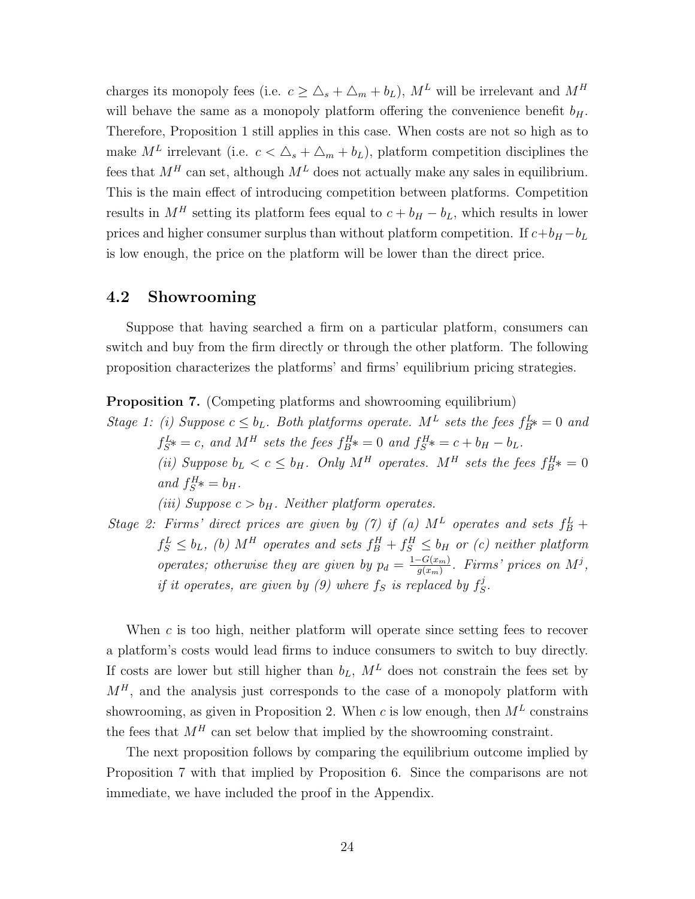charges its monopoly fees (i.e.  $c \geq \Delta_s + \Delta_m + b_L$ ),  $M^L$  will be irrelevant and  $M^H$ will behave the same as a monopoly platform offering the convenience benefit  $b_H$ . Therefore, Proposition [1](#page-16-2) still applies in this case. When costs are not so high as to make  $M^L$  irrelevant (i.e.  $c < \Delta_s + \Delta_m + b_L$ ), platform competition disciplines the fees that  $M^H$  can set, although  $M^L$  does not actually make any sales in equilibrium. This is the main effect of introducing competition between platforms. Competition results in  $M<sup>H</sup>$  setting its platform fees equal to  $c + b_H - b_L$ , which results in lower prices and higher consumer surplus than without platform competition. If  $c+b_H - b_L$ is low enough, the price on the platform will be lower than the direct price.

## 4.2 Showrooming

Suppose that having searched a firm on a particular platform, consumers can switch and buy from the firm directly or through the other platform. The following proposition characterizes the platforms' and firms' equilibrium pricing strategies.

<span id="page-23-0"></span>Proposition 7. (Competing platforms and showrooming equilibrium)

Stage 1: (i) Suppose  $c \leq b_L$ . Both platforms operate.  $M^L$  sets the fees  $f_{B^*}^L = 0$  and  $f_{S}^{L} \ast = c$ , and  $M^{H}$  sets the fees  $f_{B}^{H} \ast = 0$  and  $f_{S}^{H} \ast = c + b_{H} - b_{L}$ . (ii) Suppose  $b_L < c \leq b_H$ . Only  $M^H$  operates.  $M^H$  sets the fees  $f_B^H$  = 0 and  $f_S^H* = b_H$ .

(iii) Suppose  $c > b_H$ . Neither platform operates.

Stage 2: Firms' direct prices are given by [\(7\)](#page-14-2) if (a)  $M<sup>L</sup>$  operates and sets  $f<sup>L</sup><sub>B</sub>$  +  $f_S^L \leq b_L$ , (b)  $M^H$  operates and sets  $f_B^H + f_S^H \leq b_H$  or (c) neither platform operates; otherwise they are given by  $p_d = \frac{1-G(x_m)}{g(x_m)}$  $\frac{G(x_m)}{g(x_m)}$ . Firms' prices on  $M^j$ , if it operates, are given by [\(9\)](#page-14-0) where  $f_S$  is replaced by  $f_S^j$  $^{\cdot \jmath}_S.$ 

When c is too high, neither platform will operate since setting fees to recover a platform's costs would lead firms to induce consumers to switch to buy directly. If costs are lower but still higher than  $b_L$ ,  $M^L$  does not constrain the fees set by  $M<sup>H</sup>$ , and the analysis just corresponds to the case of a monopoly platform with showrooming, as given in Proposition [2.](#page-18-0) When c is low enough, then  $M<sup>L</sup>$  constrains the fees that  $M<sup>H</sup>$  can set below that implied by the showrooming constraint.

<span id="page-23-1"></span>The next proposition follows by comparing the equilibrium outcome implied by Proposition [7](#page-23-0) with that implied by Proposition [6.](#page-22-0) Since the comparisons are not immediate, we have included the proof in the Appendix.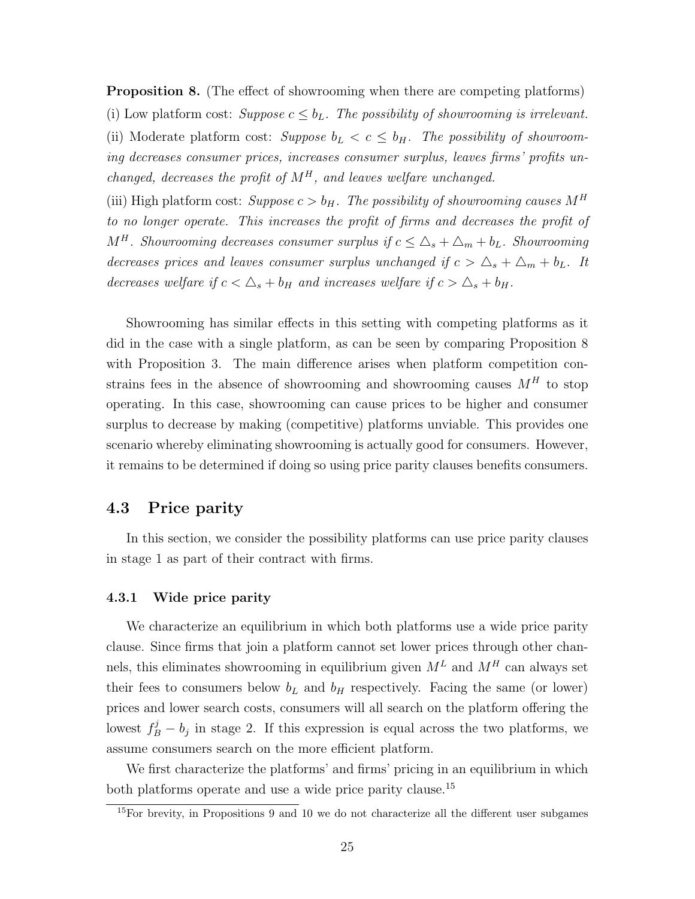**Proposition 8.** (The effect of showrooming when there are competing platforms) (i) Low platform cost: Suppose  $c \leq b_L$ . The possibility of showrooming is irrelevant. (ii) Moderate platform cost: Suppose  $b_L < c \leq b_H$ . The possibility of showrooming decreases consumer prices, increases consumer surplus, leaves firms' profits unchanged, decreases the profit of  $M^H$ , and leaves welfare unchanged.

(iii) High platform cost: Suppose  $c > b_H$ . The possibility of showrooming causes  $M^H$ to no longer operate. This increases the profit of firms and decreases the profit of  $M^H$ . Showrooming decreases consumer surplus if  $c \leq \Delta_s + \Delta_m + b_L$ . Showrooming decreases prices and leaves consumer surplus unchanged if  $c > \Delta_s + \Delta_m + b_L$ . It decreases welfare if  $c < \Delta_s + b_H$  and increases welfare if  $c > \Delta_s + b_H$ .

Showrooming has similar effects in this setting with competing platforms as it did in the case with a single platform, as can be seen by comparing Proposition [8](#page-23-1) with Proposition [3.](#page-18-1) The main difference arises when platform competition constrains fees in the absence of showrooming and showrooming causes  $M<sup>H</sup>$  to stop operating. In this case, showrooming can cause prices to be higher and consumer surplus to decrease by making (competitive) platforms unviable. This provides one scenario whereby eliminating showrooming is actually good for consumers. However, it remains to be determined if doing so using price parity clauses benefits consumers.

## 4.3 Price parity

In this section, we consider the possibility platforms can use price parity clauses in stage 1 as part of their contract with firms.

#### <span id="page-24-2"></span>4.3.1 Wide price parity

We characterize an equilibrium in which both platforms use a wide price parity clause. Since firms that join a platform cannot set lower prices through other channels, this eliminates showrooming in equilibrium given  $M^L$  and  $M^H$  can always set their fees to consumers below  $b<sub>L</sub>$  and  $b<sub>H</sub>$  respectively. Facing the same (or lower) prices and lower search costs, consumers will all search on the platform offering the lowest  $f_B^j - b_j$  in stage 2. If this expression is equal across the two platforms, we assume consumers search on the more efficient platform.

We first characterize the platforms' and firms' pricing in an equilibrium in which both platforms operate and use a wide price parity clause.<sup>[15](#page-24-0)</sup>

<span id="page-24-1"></span><span id="page-24-0"></span> $15$ For brevity, in Propositions [9](#page-24-1) and [10](#page-26-0) we do not characterize all the different user subgames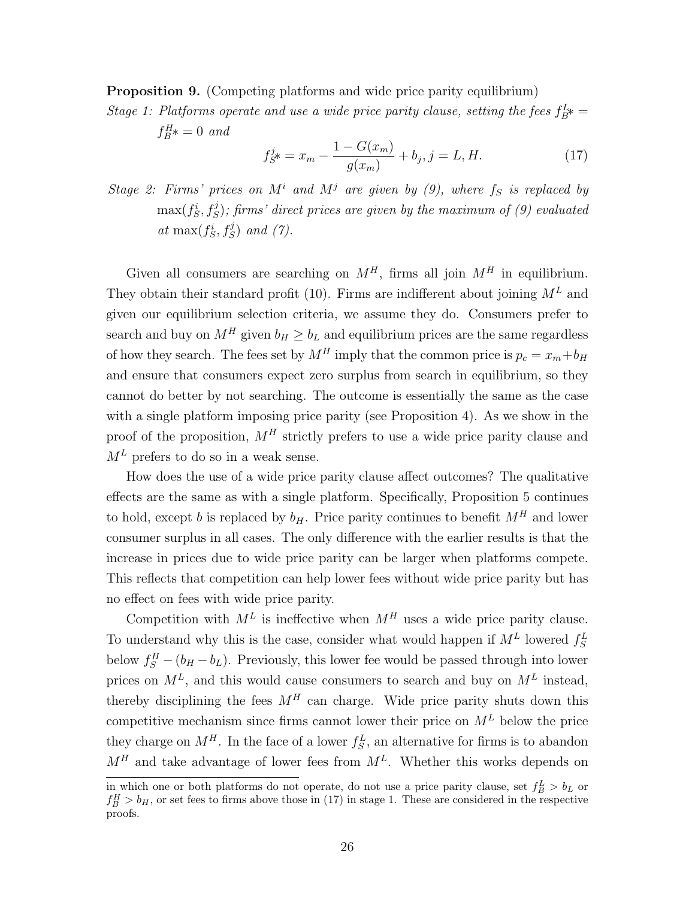**Proposition 9.** (Competing platforms and wide price parity equilibrium)

Stage 1: Platforms operate and use a wide price parity clause, setting the fees  $f_{B}^{L_{*}} =$  $f_B^H* = 0$  and

<span id="page-25-0"></span>
$$
f_{S}^{j*} = x_m - \frac{1 - G(x_m)}{g(x_m)} + b_j, j = L, H.
$$
 (17)

Stage 2: Firms' prices on  $M^i$  and  $M^j$  are given by [\(9\)](#page-14-0), where  $f_S$  is replaced by  $\max(f^i_S, f^j_S)$ ; firms' direct prices are given by the maximum of [\(9\)](#page-14-0) evaluated at  $\max(f_S^i, f_S^j)$  and [\(7\)](#page-14-2).

Given all consumers are searching on  $M<sup>H</sup>$ , firms all join  $M<sup>H</sup>$  in equilibrium. They obtain their standard profit [\(10\)](#page-14-3). Firms are indifferent about joining  $M<sup>L</sup>$  and given our equilibrium selection criteria, we assume they do. Consumers prefer to search and buy on  $M^H$  given  $b_H \geq b_L$  and equilibrium prices are the same regardless of how they search. The fees set by  $M^H$  imply that the common price is  $p_c = x_m + b_H$ and ensure that consumers expect zero surplus from search in equilibrium, so they cannot do better by not searching. The outcome is essentially the same as the case with a single platform imposing price parity (see Proposition [4\)](#page-19-2). As we show in the proof of the proposition,  $M<sup>H</sup>$  strictly prefers to use a wide price parity clause and  $M<sup>L</sup>$  prefers to do so in a weak sense.

How does the use of a wide price parity clause affect outcomes? The qualitative effects are the same as with a single platform. Specifically, Proposition [5](#page-20-1) continues to hold, except b is replaced by  $b_H$ . Price parity continues to benefit  $M^H$  and lower consumer surplus in all cases. The only difference with the earlier results is that the increase in prices due to wide price parity can be larger when platforms compete. This reflects that competition can help lower fees without wide price parity but has no effect on fees with wide price parity.

Competition with  $M<sup>L</sup>$  is ineffective when  $M<sup>H</sup>$  uses a wide price parity clause. To understand why this is the case, consider what would happen if  $M<sup>L</sup>$  lowered  $f_S<sup>L</sup>$ below  $f_S^H - (b_H - b_L)$ . Previously, this lower fee would be passed through into lower prices on  $M^L$ , and this would cause consumers to search and buy on  $M^L$  instead, thereby disciplining the fees  $M<sup>H</sup>$  can charge. Wide price parity shuts down this competitive mechanism since firms cannot lower their price on  $M<sup>L</sup>$  below the price they charge on  $M<sup>H</sup>$ . In the face of a lower  $f_S^L$ , an alternative for firms is to abandon  $M<sup>H</sup>$  and take advantage of lower fees from  $M<sup>L</sup>$ . Whether this works depends on

in which one or both platforms do not operate, do not use a price parity clause, set  $f_B^L > b_L$  or  $f_B^H > b_H$ , or set fees to firms above those in [\(17\)](#page-25-0) in stage 1. These are considered in the respective proofs.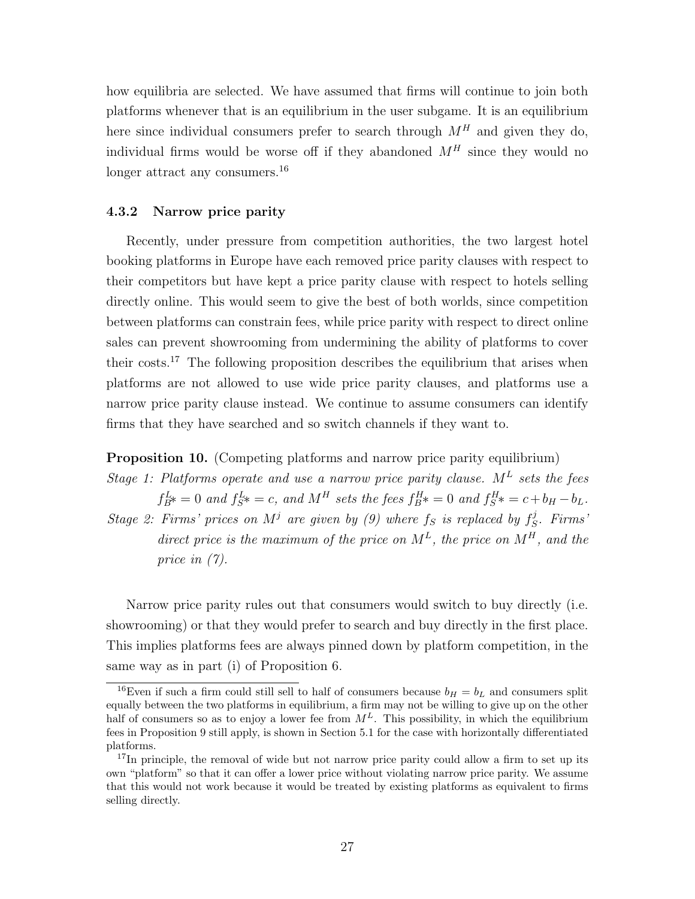how equilibria are selected. We have assumed that firms will continue to join both platforms whenever that is an equilibrium in the user subgame. It is an equilibrium here since individual consumers prefer to search through  $M<sup>H</sup>$  and given they do, individual firms would be worse off if they abandoned  $M<sup>H</sup>$  since they would no longer attract any consumers.<sup>[16](#page-26-1)</sup>

#### <span id="page-26-3"></span>4.3.2 Narrow price parity

Recently, under pressure from competition authorities, the two largest hotel booking platforms in Europe have each removed price parity clauses with respect to their competitors but have kept a price parity clause with respect to hotels selling directly online. This would seem to give the best of both worlds, since competition between platforms can constrain fees, while price parity with respect to direct online sales can prevent showrooming from undermining the ability of platforms to cover their costs.<sup>[17](#page-26-2)</sup> The following proposition describes the equilibrium that arises when platforms are not allowed to use wide price parity clauses, and platforms use a narrow price parity clause instead. We continue to assume consumers can identify firms that they have searched and so switch channels if they want to.

#### <span id="page-26-0"></span>Proposition 10. (Competing platforms and narrow price parity equilibrium)

Stage 1: Platforms operate and use a narrow price parity clause.  $M<sup>L</sup>$  sets the fees  $f_{B}^{L*} = 0$  and  $f_{S}^{L*} = c$ , and  $M<sup>H</sup>$  sets the fees  $f_{B}^{H*} = 0$  and  $f_{S}^{H*} = c + b_{H} - b_{L}$ .

Stage 2: Firms' prices on  $M^j$  are given by [\(9\)](#page-14-0) where  $f_S$  is replaced by  $f_S^j$  $S^j$ . Firms<sup>:</sup> direct price is the maximum of the price on  $M^L$ , the price on  $M^H$ , and the price in [\(7\)](#page-14-2).

Narrow price parity rules out that consumers would switch to buy directly (i.e. showrooming) or that they would prefer to search and buy directly in the first place. This implies platforms fees are always pinned down by platform competition, in the same way as in part (i) of Proposition [6.](#page-22-0)

<span id="page-26-1"></span><sup>&</sup>lt;sup>16</sup>Even if such a firm could still sell to half of consumers because  $b_H = b_L$  and consumers split equally between the two platforms in equilibrium, a firm may not be willing to give up on the other half of consumers so as to enjoy a lower fee from  $M<sup>L</sup>$ . This possibility, in which the equilibrium fees in Proposition [9](#page-24-1) still apply, is shown in Section [5.1](#page-28-0) for the case with horizontally differentiated platforms.

<span id="page-26-2"></span><sup>&</sup>lt;sup>17</sup>In principle, the removal of wide but not narrow price parity could allow a firm to set up its own "platform" so that it can offer a lower price without violating narrow price parity. We assume that this would not work because it would be treated by existing platforms as equivalent to firms selling directly.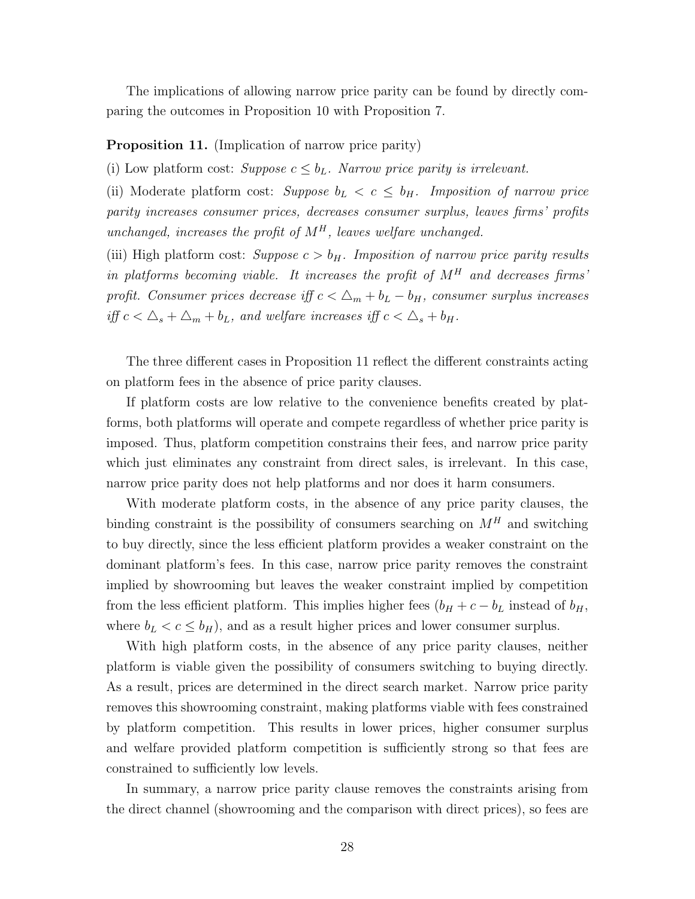The implications of allowing narrow price parity can be found by directly comparing the outcomes in Proposition [10](#page-26-0) with Proposition [7.](#page-23-0)

#### <span id="page-27-0"></span>Proposition 11. (Implication of narrow price parity)

(i) Low platform cost: Suppose  $c \leq b_L$ . Narrow price parity is irrelevant.

(ii) Moderate platform cost: Suppose  $b_L < c \leq b_H$ . Imposition of narrow price parity increases consumer prices, decreases consumer surplus, leaves firms' profits unchanged, increases the profit of  $M<sup>H</sup>$ , leaves welfare unchanged.

(iii) High platform cost: Suppose  $c > b_H$ . Imposition of narrow price parity results in platforms becoming viable. It increases the profit of  $M<sup>H</sup>$  and decreases firms' profit. Consumer prices decrease iff  $c < \Delta_m + b_L - b_H$ , consumer surplus increases iff  $c < \Delta_s + \Delta_m + b_L$ , and welfare increases iff  $c < \Delta_s + b_H$ .

The three different cases in Proposition [11](#page-27-0) reflect the different constraints acting on platform fees in the absence of price parity clauses.

If platform costs are low relative to the convenience benefits created by platforms, both platforms will operate and compete regardless of whether price parity is imposed. Thus, platform competition constrains their fees, and narrow price parity which just eliminates any constraint from direct sales, is irrelevant. In this case, narrow price parity does not help platforms and nor does it harm consumers.

With moderate platform costs, in the absence of any price parity clauses, the binding constraint is the possibility of consumers searching on  $M<sup>H</sup>$  and switching to buy directly, since the less efficient platform provides a weaker constraint on the dominant platform's fees. In this case, narrow price parity removes the constraint implied by showrooming but leaves the weaker constraint implied by competition from the less efficient platform. This implies higher fees  $(b_H + c - b_L$  instead of  $b_H$ , where  $b_L < c \leq b_H$ , and as a result higher prices and lower consumer surplus.

With high platform costs, in the absence of any price parity clauses, neither platform is viable given the possibility of consumers switching to buying directly. As a result, prices are determined in the direct search market. Narrow price parity removes this showrooming constraint, making platforms viable with fees constrained by platform competition. This results in lower prices, higher consumer surplus and welfare provided platform competition is sufficiently strong so that fees are constrained to sufficiently low levels.

In summary, a narrow price parity clause removes the constraints arising from the direct channel (showrooming and the comparison with direct prices), so fees are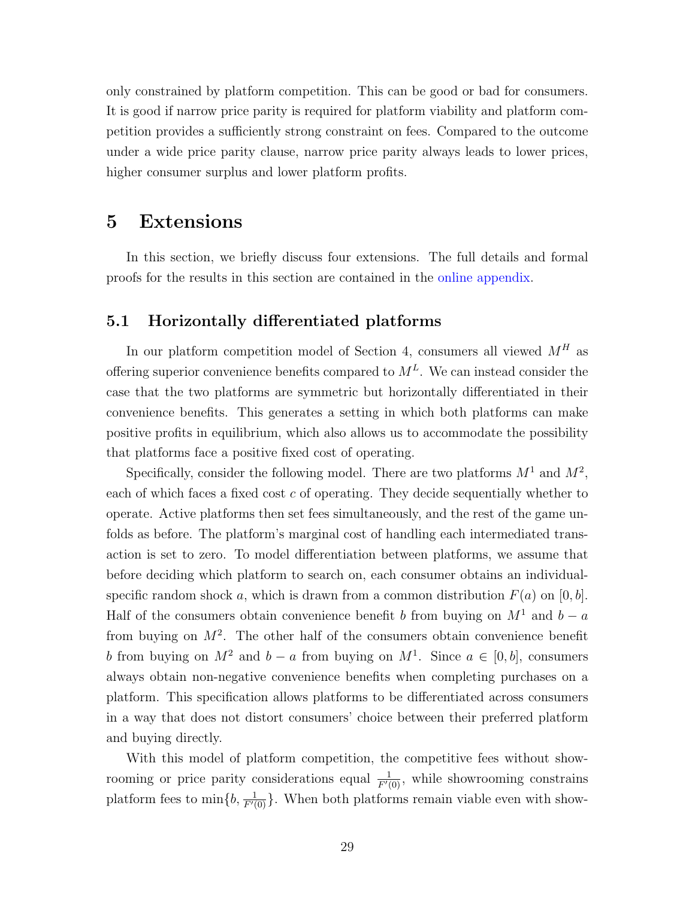only constrained by platform competition. This can be good or bad for consumers. It is good if narrow price parity is required for platform viability and platform competition provides a sufficiently strong constraint on fees. Compared to the outcome under a wide price parity clause, narrow price parity always leads to lower prices, higher consumer surplus and lower platform profits.

## 5 Extensions

In this section, we briefly discuss four extensions. The full details and formal proofs for the results in this section are contained in the [online appendix.](https://sites.google.com/site/wrighteconomics/home/research)

## <span id="page-28-0"></span>5.1 Horizontally differentiated platforms

In our platform competition model of Section [4,](#page-21-0) consumers all viewed  $M<sup>H</sup>$  as offering superior convenience benefits compared to  $M<sup>L</sup>$ . We can instead consider the case that the two platforms are symmetric but horizontally differentiated in their convenience benefits. This generates a setting in which both platforms can make positive profits in equilibrium, which also allows us to accommodate the possibility that platforms face a positive fixed cost of operating.

Specifically, consider the following model. There are two platforms  $M^1$  and  $M^2$ , each of which faces a fixed cost  $c$  of operating. They decide sequentially whether to operate. Active platforms then set fees simultaneously, and the rest of the game unfolds as before. The platform's marginal cost of handling each intermediated transaction is set to zero. To model differentiation between platforms, we assume that before deciding which platform to search on, each consumer obtains an individualspecific random shock a, which is drawn from a common distribution  $F(a)$  on  $[0, b]$ . Half of the consumers obtain convenience benefit b from buying on  $M^1$  and  $b - a$ from buying on  $M^2$ . The other half of the consumers obtain convenience benefit b from buying on  $M^2$  and  $b - a$  from buying on  $M^1$ . Since  $a \in [0, b]$ , consumers always obtain non-negative convenience benefits when completing purchases on a platform. This specification allows platforms to be differentiated across consumers in a way that does not distort consumers' choice between their preferred platform and buying directly.

With this model of platform competition, the competitive fees without showrooming or price parity considerations equal  $\frac{1}{F'(0)}$ , while showrooming constrains platform fees to  $\min\{b, \frac{1}{F'(0)}\}$ . When both platforms remain viable even with show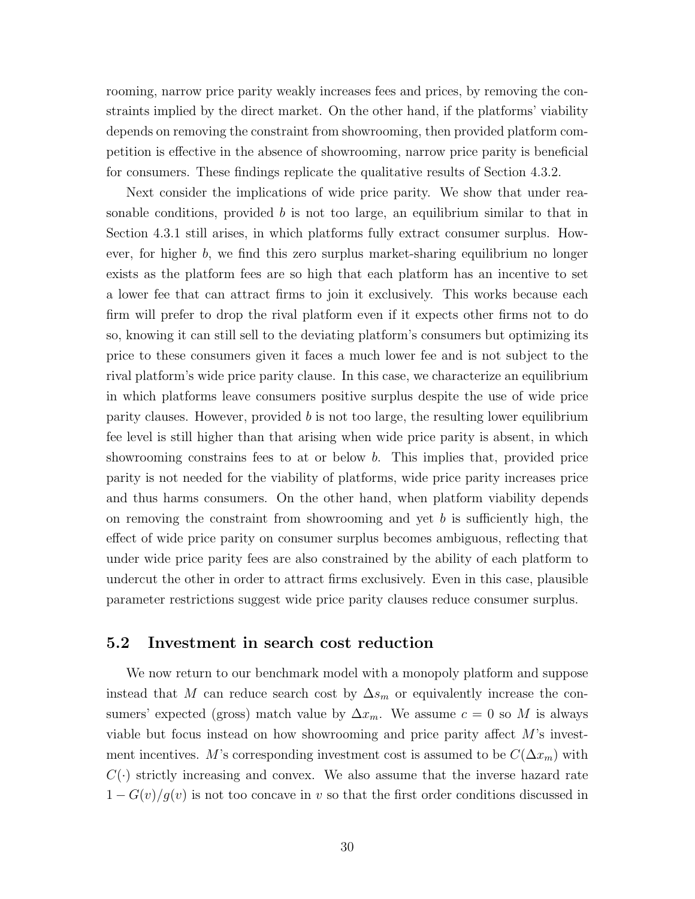rooming, narrow price parity weakly increases fees and prices, by removing the constraints implied by the direct market. On the other hand, if the platforms' viability depends on removing the constraint from showrooming, then provided platform competition is effective in the absence of showrooming, narrow price parity is beneficial for consumers. These findings replicate the qualitative results of Section [4.3.2.](#page-26-3)

Next consider the implications of wide price parity. We show that under reasonable conditions, provided b is not too large, an equilibrium similar to that in Section [4.3.1](#page-24-2) still arises, in which platforms fully extract consumer surplus. However, for higher b, we find this zero surplus market-sharing equilibrium no longer exists as the platform fees are so high that each platform has an incentive to set a lower fee that can attract firms to join it exclusively. This works because each firm will prefer to drop the rival platform even if it expects other firms not to do so, knowing it can still sell to the deviating platform's consumers but optimizing its price to these consumers given it faces a much lower fee and is not subject to the rival platform's wide price parity clause. In this case, we characterize an equilibrium in which platforms leave consumers positive surplus despite the use of wide price parity clauses. However, provided  $b$  is not too large, the resulting lower equilibrium fee level is still higher than that arising when wide price parity is absent, in which showrooming constrains fees to at or below b. This implies that, provided price parity is not needed for the viability of platforms, wide price parity increases price and thus harms consumers. On the other hand, when platform viability depends on removing the constraint from showrooming and yet  $b$  is sufficiently high, the effect of wide price parity on consumer surplus becomes ambiguous, reflecting that under wide price parity fees are also constrained by the ability of each platform to undercut the other in order to attract firms exclusively. Even in this case, plausible parameter restrictions suggest wide price parity clauses reduce consumer surplus.

## 5.2 Investment in search cost reduction

We now return to our benchmark model with a monopoly platform and suppose instead that M can reduce search cost by  $\Delta s_m$  or equivalently increase the consumers' expected (gross) match value by  $\Delta x_m$ . We assume  $c = 0$  so M is always viable but focus instead on how showrooming and price parity affect M's investment incentives. M's corresponding investment cost is assumed to be  $C(\Delta x_m)$  with  $C(\cdot)$  strictly increasing and convex. We also assume that the inverse hazard rate  $1 - G(v)/g(v)$  is not too concave in v so that the first order conditions discussed in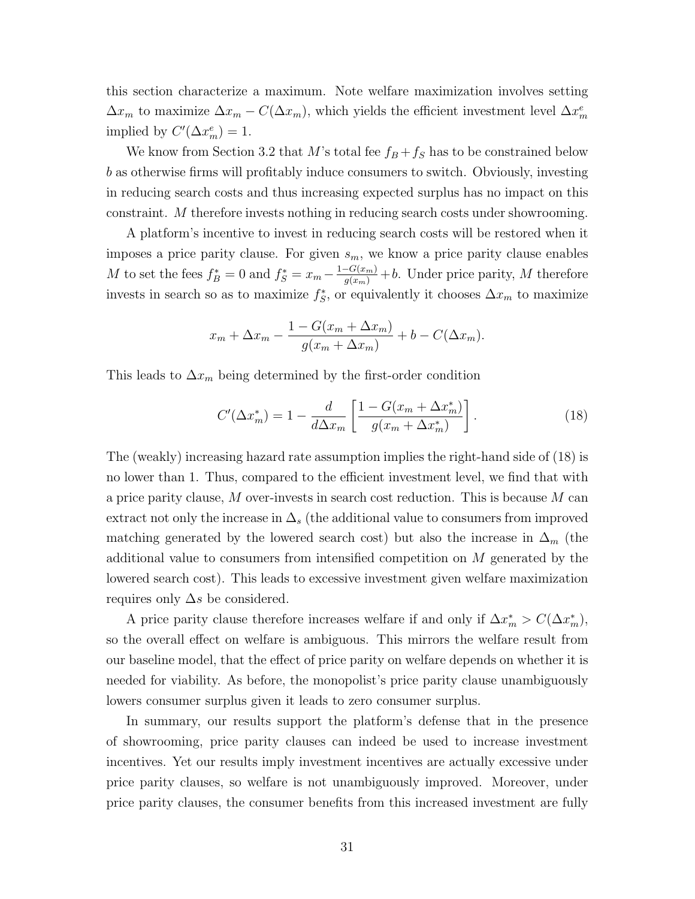this section characterize a maximum. Note welfare maximization involves setting  $\Delta x_m$  to maximize  $\Delta x_m - C(\Delta x_m)$ , which yields the efficient investment level  $\Delta x_m^e$ implied by  $C'(\Delta x_m^e) = 1$ .

We know from Section [3.2](#page-17-0) that M's total fee  $f_B + f_S$  has to be constrained below b as otherwise firms will profitably induce consumers to switch. Obviously, investing in reducing search costs and thus increasing expected surplus has no impact on this constraint. M therefore invests nothing in reducing search costs under showrooming.

A platform's incentive to invest in reducing search costs will be restored when it imposes a price parity clause. For given  $s_m$ , we know a price parity clause enables M to set the fees  $f_B^* = 0$  and  $f_S^* = x_m - \frac{1 - G(x_m)}{g(x_m)} + b$ . Under price parity, M therefore invests in search so as to maximize  $f_S^*$ , or equivalently it chooses  $\Delta x_m$  to maximize

$$
x_m + \Delta x_m - \frac{1 - G(x_m + \Delta x_m)}{g(x_m + \Delta x_m)} + b - C(\Delta x_m).
$$

This leads to  $\Delta x_m$  being determined by the first-order condition

<span id="page-30-0"></span>
$$
C'(\Delta x_m^*) = 1 - \frac{d}{d\Delta x_m} \left[ \frac{1 - G(x_m + \Delta x_m^*)}{g(x_m + \Delta x_m^*)} \right].
$$
 (18)

The (weakly) increasing hazard rate assumption implies the right-hand side of [\(18\)](#page-30-0) is no lower than 1. Thus, compared to the efficient investment level, we find that with a price parity clause,  $M$  over-invests in search cost reduction. This is because  $M$  can extract not only the increase in  $\Delta_s$  (the additional value to consumers from improved matching generated by the lowered search cost) but also the increase in  $\Delta_m$  (the additional value to consumers from intensified competition on M generated by the lowered search cost). This leads to excessive investment given welfare maximization requires only  $\Delta s$  be considered.

A price parity clause therefore increases welfare if and only if  $\Delta x_m^* > C(\Delta x_m^*),$ so the overall effect on welfare is ambiguous. This mirrors the welfare result from our baseline model, that the effect of price parity on welfare depends on whether it is needed for viability. As before, the monopolist's price parity clause unambiguously lowers consumer surplus given it leads to zero consumer surplus.

In summary, our results support the platform's defense that in the presence of showrooming, price parity clauses can indeed be used to increase investment incentives. Yet our results imply investment incentives are actually excessive under price parity clauses, so welfare is not unambiguously improved. Moreover, under price parity clauses, the consumer benefits from this increased investment are fully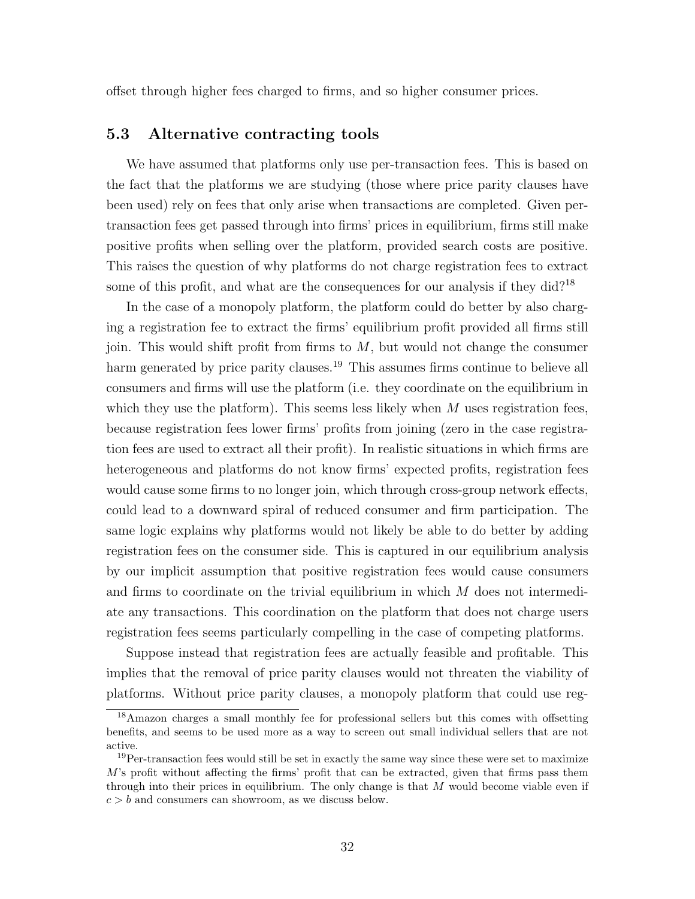offset through higher fees charged to firms, and so higher consumer prices.

## <span id="page-31-0"></span>5.3 Alternative contracting tools

We have assumed that platforms only use per-transaction fees. This is based on the fact that the platforms we are studying (those where price parity clauses have been used) rely on fees that only arise when transactions are completed. Given pertransaction fees get passed through into firms' prices in equilibrium, firms still make positive profits when selling over the platform, provided search costs are positive. This raises the question of why platforms do not charge registration fees to extract some of this profit, and what are the consequences for our analysis if they did?<sup>[18](#page-31-1)</sup>

In the case of a monopoly platform, the platform could do better by also charging a registration fee to extract the firms' equilibrium profit provided all firms still join. This would shift profit from firms to  $M$ , but would not change the consumer harm generated by price parity clauses.<sup>[19](#page-31-2)</sup> This assumes firms continue to believe all consumers and firms will use the platform (i.e. they coordinate on the equilibrium in which they use the platform). This seems less likely when  $M$  uses registration fees, because registration fees lower firms' profits from joining (zero in the case registration fees are used to extract all their profit). In realistic situations in which firms are heterogeneous and platforms do not know firms' expected profits, registration fees would cause some firms to no longer join, which through cross-group network effects, could lead to a downward spiral of reduced consumer and firm participation. The same logic explains why platforms would not likely be able to do better by adding registration fees on the consumer side. This is captured in our equilibrium analysis by our implicit assumption that positive registration fees would cause consumers and firms to coordinate on the trivial equilibrium in which  $M$  does not intermediate any transactions. This coordination on the platform that does not charge users registration fees seems particularly compelling in the case of competing platforms.

Suppose instead that registration fees are actually feasible and profitable. This implies that the removal of price parity clauses would not threaten the viability of platforms. Without price parity clauses, a monopoly platform that could use reg-

<span id="page-31-1"></span><sup>18</sup>Amazon charges a small monthly fee for professional sellers but this comes with offsetting benefits, and seems to be used more as a way to screen out small individual sellers that are not active.

<span id="page-31-2"></span><sup>&</sup>lt;sup>19</sup>Per-transaction fees would still be set in exactly the same way since these were set to maximize  $M$ 's profit without affecting the firms' profit that can be extracted, given that firms pass them through into their prices in equilibrium. The only change is that  $M$  would become viable even if  $c > b$  and consumers can showroom, as we discuss below.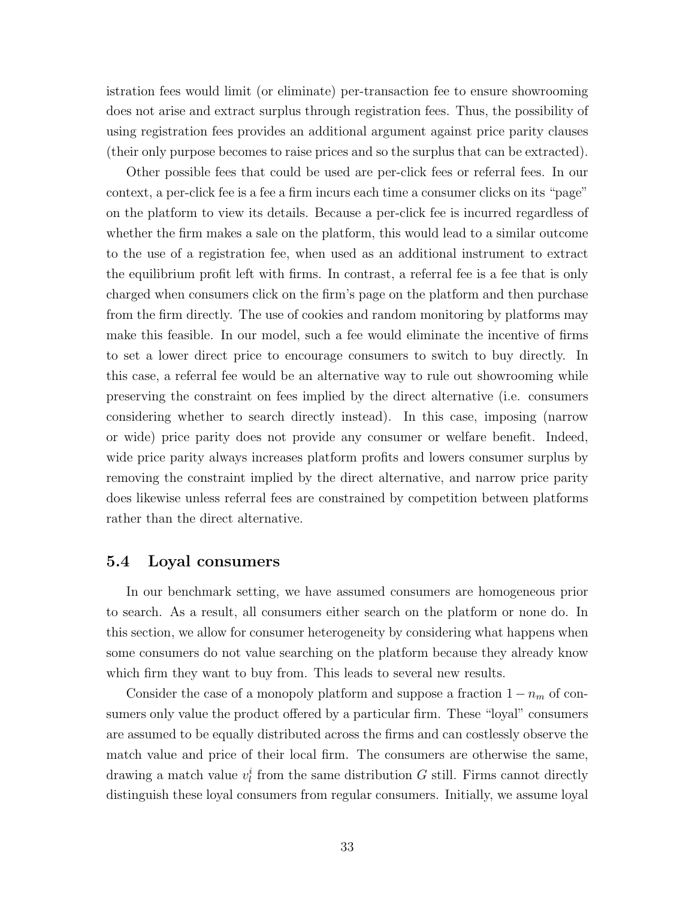istration fees would limit (or eliminate) per-transaction fee to ensure showrooming does not arise and extract surplus through registration fees. Thus, the possibility of using registration fees provides an additional argument against price parity clauses (their only purpose becomes to raise prices and so the surplus that can be extracted).

Other possible fees that could be used are per-click fees or referral fees. In our context, a per-click fee is a fee a firm incurs each time a consumer clicks on its "page" on the platform to view its details. Because a per-click fee is incurred regardless of whether the firm makes a sale on the platform, this would lead to a similar outcome to the use of a registration fee, when used as an additional instrument to extract the equilibrium profit left with firms. In contrast, a referral fee is a fee that is only charged when consumers click on the firm's page on the platform and then purchase from the firm directly. The use of cookies and random monitoring by platforms may make this feasible. In our model, such a fee would eliminate the incentive of firms to set a lower direct price to encourage consumers to switch to buy directly. In this case, a referral fee would be an alternative way to rule out showrooming while preserving the constraint on fees implied by the direct alternative (i.e. consumers considering whether to search directly instead). In this case, imposing (narrow or wide) price parity does not provide any consumer or welfare benefit. Indeed, wide price parity always increases platform profits and lowers consumer surplus by removing the constraint implied by the direct alternative, and narrow price parity does likewise unless referral fees are constrained by competition between platforms rather than the direct alternative.

## 5.4 Loyal consumers

In our benchmark setting, we have assumed consumers are homogeneous prior to search. As a result, all consumers either search on the platform or none do. In this section, we allow for consumer heterogeneity by considering what happens when some consumers do not value searching on the platform because they already know which firm they want to buy from. This leads to several new results.

Consider the case of a monopoly platform and suppose a fraction  $1 - n_m$  of consumers only value the product offered by a particular firm. These "loyal" consumers are assumed to be equally distributed across the firms and can costlessly observe the match value and price of their local firm. The consumers are otherwise the same, drawing a match value  $v_l^i$  from the same distribution G still. Firms cannot directly distinguish these loyal consumers from regular consumers. Initially, we assume loyal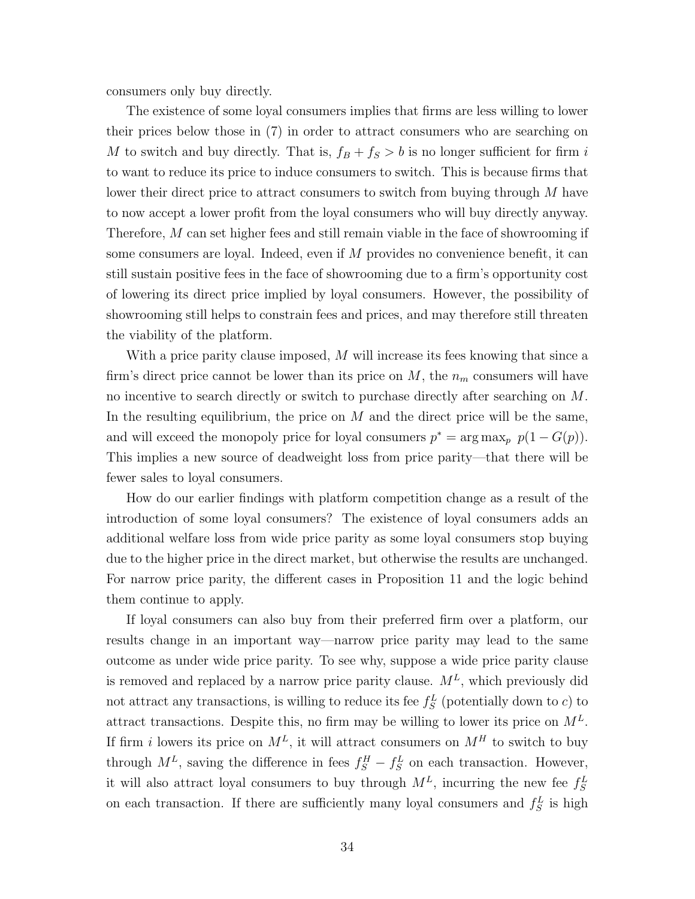consumers only buy directly.

The existence of some loyal consumers implies that firms are less willing to lower their prices below those in [\(7\)](#page-14-2) in order to attract consumers who are searching on M to switch and buy directly. That is,  $f_B + f_S > b$  is no longer sufficient for firm i to want to reduce its price to induce consumers to switch. This is because firms that lower their direct price to attract consumers to switch from buying through M have to now accept a lower profit from the loyal consumers who will buy directly anyway. Therefore, M can set higher fees and still remain viable in the face of showrooming if some consumers are loyal. Indeed, even if M provides no convenience benefit, it can still sustain positive fees in the face of showrooming due to a firm's opportunity cost of lowering its direct price implied by loyal consumers. However, the possibility of showrooming still helps to constrain fees and prices, and may therefore still threaten the viability of the platform.

With a price parity clause imposed, M will increase its fees knowing that since a firm's direct price cannot be lower than its price on  $M$ , the  $n_m$  consumers will have no incentive to search directly or switch to purchase directly after searching on M. In the resulting equilibrium, the price on  $M$  and the direct price will be the same, and will exceed the monopoly price for loyal consumers  $p^* = \arg \max_p p(1 - G(p)).$ This implies a new source of deadweight loss from price parity—that there will be fewer sales to loyal consumers.

How do our earlier findings with platform competition change as a result of the introduction of some loyal consumers? The existence of loyal consumers adds an additional welfare loss from wide price parity as some loyal consumers stop buying due to the higher price in the direct market, but otherwise the results are unchanged. For narrow price parity, the different cases in Proposition [11](#page-27-0) and the logic behind them continue to apply.

If loyal consumers can also buy from their preferred firm over a platform, our results change in an important way—narrow price parity may lead to the same outcome as under wide price parity. To see why, suppose a wide price parity clause is removed and replaced by a narrow price parity clause.  $M<sup>L</sup>$ , which previously did not attract any transactions, is willing to reduce its fee  $f_S^L$  (potentially down to c) to attract transactions. Despite this, no firm may be willing to lower its price on  $M<sup>L</sup>$ . If firm i lowers its price on  $M^L$ , it will attract consumers on  $M^H$  to switch to buy through  $M^L$ , saving the difference in fees  $f_S^H - f_S^L$  on each transaction. However, it will also attract loyal consumers to buy through  $M<sup>L</sup>$ , incurring the new fee  $f_S^L$ on each transaction. If there are sufficiently many loyal consumers and  $f_S^L$  is high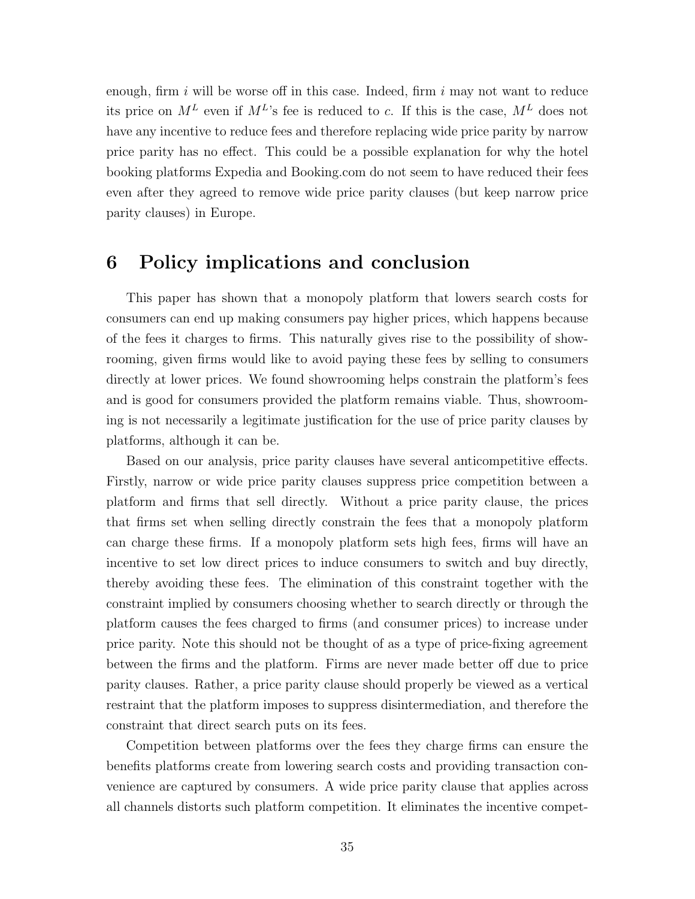enough, firm  $i$  will be worse off in this case. Indeed, firm  $i$  may not want to reduce its price on  $M^L$  even if  $M^L$ 's fee is reduced to c. If this is the case,  $M^L$  does not have any incentive to reduce fees and therefore replacing wide price parity by narrow price parity has no effect. This could be a possible explanation for why the hotel booking platforms Expedia and Booking.com do not seem to have reduced their fees even after they agreed to remove wide price parity clauses (but keep narrow price parity clauses) in Europe.

# 6 Policy implications and conclusion

This paper has shown that a monopoly platform that lowers search costs for consumers can end up making consumers pay higher prices, which happens because of the fees it charges to firms. This naturally gives rise to the possibility of showrooming, given firms would like to avoid paying these fees by selling to consumers directly at lower prices. We found showrooming helps constrain the platform's fees and is good for consumers provided the platform remains viable. Thus, showrooming is not necessarily a legitimate justification for the use of price parity clauses by platforms, although it can be.

Based on our analysis, price parity clauses have several anticompetitive effects. Firstly, narrow or wide price parity clauses suppress price competition between a platform and firms that sell directly. Without a price parity clause, the prices that firms set when selling directly constrain the fees that a monopoly platform can charge these firms. If a monopoly platform sets high fees, firms will have an incentive to set low direct prices to induce consumers to switch and buy directly, thereby avoiding these fees. The elimination of this constraint together with the constraint implied by consumers choosing whether to search directly or through the platform causes the fees charged to firms (and consumer prices) to increase under price parity. Note this should not be thought of as a type of price-fixing agreement between the firms and the platform. Firms are never made better off due to price parity clauses. Rather, a price parity clause should properly be viewed as a vertical restraint that the platform imposes to suppress disintermediation, and therefore the constraint that direct search puts on its fees.

Competition between platforms over the fees they charge firms can ensure the benefits platforms create from lowering search costs and providing transaction convenience are captured by consumers. A wide price parity clause that applies across all channels distorts such platform competition. It eliminates the incentive compet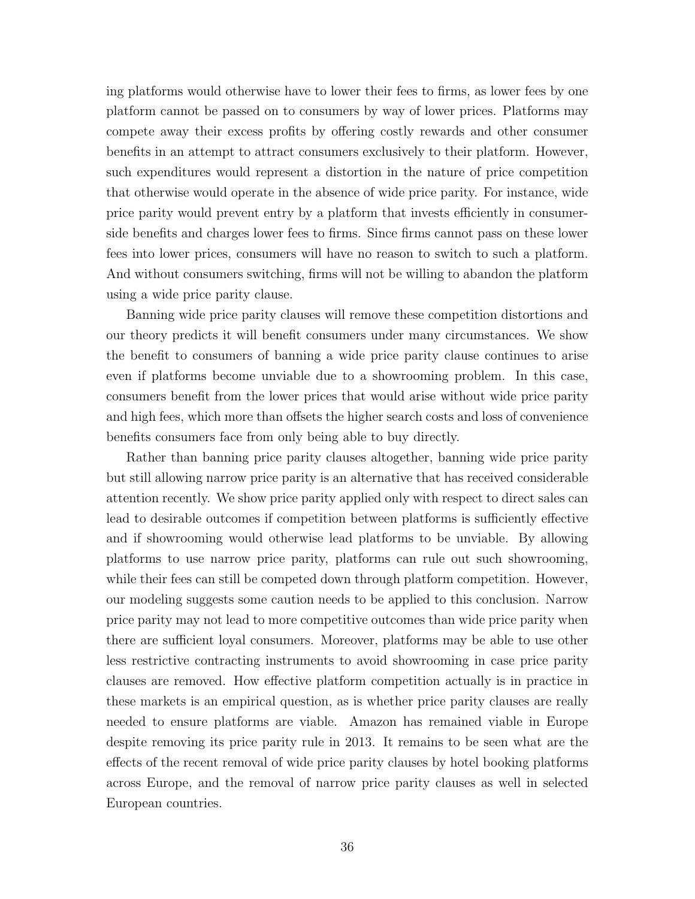ing platforms would otherwise have to lower their fees to firms, as lower fees by one platform cannot be passed on to consumers by way of lower prices. Platforms may compete away their excess profits by offering costly rewards and other consumer benefits in an attempt to attract consumers exclusively to their platform. However, such expenditures would represent a distortion in the nature of price competition that otherwise would operate in the absence of wide price parity. For instance, wide price parity would prevent entry by a platform that invests efficiently in consumerside benefits and charges lower fees to firms. Since firms cannot pass on these lower fees into lower prices, consumers will have no reason to switch to such a platform. And without consumers switching, firms will not be willing to abandon the platform using a wide price parity clause.

Banning wide price parity clauses will remove these competition distortions and our theory predicts it will benefit consumers under many circumstances. We show the benefit to consumers of banning a wide price parity clause continues to arise even if platforms become unviable due to a showrooming problem. In this case, consumers benefit from the lower prices that would arise without wide price parity and high fees, which more than offsets the higher search costs and loss of convenience benefits consumers face from only being able to buy directly.

Rather than banning price parity clauses altogether, banning wide price parity but still allowing narrow price parity is an alternative that has received considerable attention recently. We show price parity applied only with respect to direct sales can lead to desirable outcomes if competition between platforms is sufficiently effective and if showrooming would otherwise lead platforms to be unviable. By allowing platforms to use narrow price parity, platforms can rule out such showrooming, while their fees can still be competed down through platform competition. However, our modeling suggests some caution needs to be applied to this conclusion. Narrow price parity may not lead to more competitive outcomes than wide price parity when there are sufficient loyal consumers. Moreover, platforms may be able to use other less restrictive contracting instruments to avoid showrooming in case price parity clauses are removed. How effective platform competition actually is in practice in these markets is an empirical question, as is whether price parity clauses are really needed to ensure platforms are viable. Amazon has remained viable in Europe despite removing its price parity rule in 2013. It remains to be seen what are the effects of the recent removal of wide price parity clauses by hotel booking platforms across Europe, and the removal of narrow price parity clauses as well in selected European countries.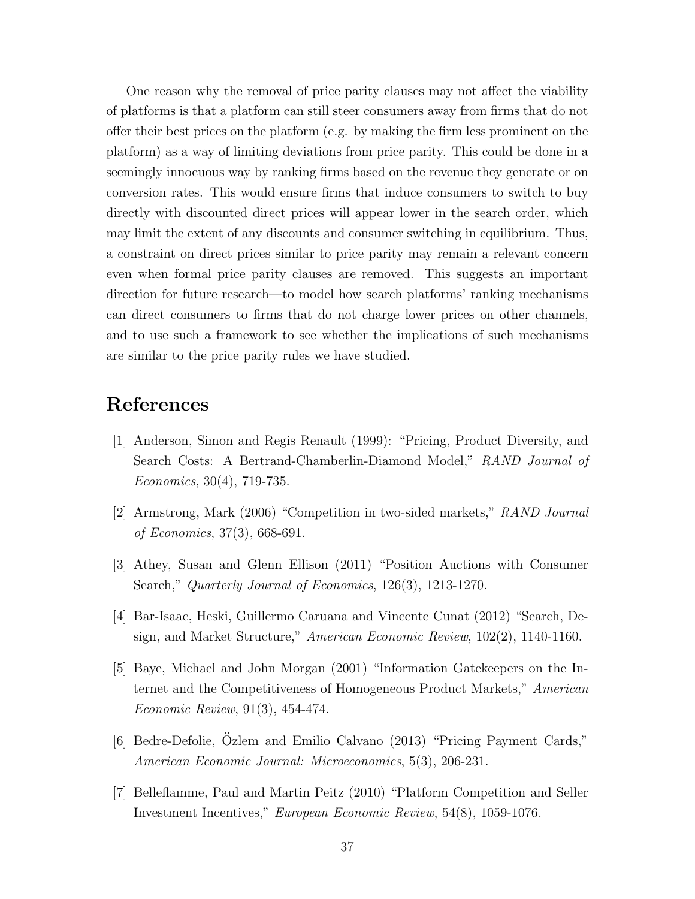One reason why the removal of price parity clauses may not affect the viability of platforms is that a platform can still steer consumers away from firms that do not offer their best prices on the platform (e.g. by making the firm less prominent on the platform) as a way of limiting deviations from price parity. This could be done in a seemingly innocuous way by ranking firms based on the revenue they generate or on conversion rates. This would ensure firms that induce consumers to switch to buy directly with discounted direct prices will appear lower in the search order, which may limit the extent of any discounts and consumer switching in equilibrium. Thus, a constraint on direct prices similar to price parity may remain a relevant concern even when formal price parity clauses are removed. This suggests an important direction for future research—to model how search platforms' ranking mechanisms can direct consumers to firms that do not charge lower prices on other channels, and to use such a framework to see whether the implications of such mechanisms are similar to the price parity rules we have studied.

## References

- [1] Anderson, Simon and Regis Renault (1999): "Pricing, Product Diversity, and Search Costs: A Bertrand-Chamberlin-Diamond Model," RAND Journal of Economics, 30(4), 719-735.
- [2] Armstrong, Mark (2006) "Competition in two-sided markets," RAND Journal of Economics, 37(3), 668-691.
- [3] Athey, Susan and Glenn Ellison (2011) "Position Auctions with Consumer Search," Quarterly Journal of Economics, 126(3), 1213-1270.
- [4] Bar-Isaac, Heski, Guillermo Caruana and Vincente Cunat (2012) "Search, Design, and Market Structure," American Economic Review, 102(2), 1140-1160.
- [5] Baye, Michael and John Morgan (2001) "Information Gatekeepers on the Internet and the Competitiveness of Homogeneous Product Markets," American Economic Review, 91(3), 454-474.
- [6] Bedre-Defolie, Ozlem and Emilio Calvano (2013) "Pricing Payment Cards," ¨ American Economic Journal: Microeconomics, 5(3), 206-231.
- [7] Belleflamme, Paul and Martin Peitz (2010) "Platform Competition and Seller Investment Incentives," European Economic Review, 54(8), 1059-1076.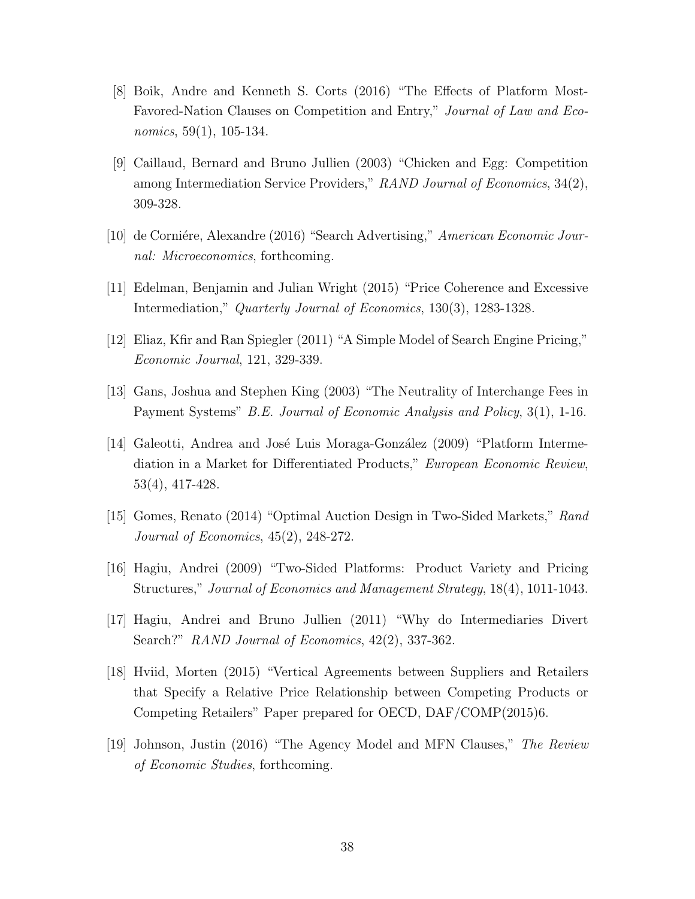- [8] Boik, Andre and Kenneth S. Corts (2016) "The Effects of Platform Most-Favored-Nation Clauses on Competition and Entry," Journal of Law and Economics, 59(1), 105-134.
- [9] Caillaud, Bernard and Bruno Jullien (2003) "Chicken and Egg: Competition among Intermediation Service Providers," RAND Journal of Economics, 34(2), 309-328.
- [10] de Corniére, Alexandre (2016) "Search Advertising," American Economic Journal: Microeconomics, forthcoming.
- [11] Edelman, Benjamin and Julian Wright (2015) "Price Coherence and Excessive Intermediation," Quarterly Journal of Economics, 130(3), 1283-1328.
- [12] Eliaz, Kfir and Ran Spiegler (2011) "A Simple Model of Search Engine Pricing," Economic Journal, 121, 329-339.
- [13] Gans, Joshua and Stephen King (2003) "The Neutrality of Interchange Fees in Payment Systems" B.E. Journal of Economic Analysis and Policy, 3(1), 1-16.
- [14] Galeotti, Andrea and José Luis Moraga-González (2009) "Platform Intermediation in a Market for Differentiated Products," European Economic Review, 53(4), 417-428.
- [15] Gomes, Renato (2014) "Optimal Auction Design in Two-Sided Markets," Rand Journal of Economics, 45(2), 248-272.
- [16] Hagiu, Andrei (2009) "Two-Sided Platforms: Product Variety and Pricing Structures," Journal of Economics and Management Strategy, 18(4), 1011-1043.
- [17] Hagiu, Andrei and Bruno Jullien (2011) "Why do Intermediaries Divert Search?" RAND Journal of Economics, 42(2), 337-362.
- [18] Hviid, Morten (2015) "Vertical Agreements between Suppliers and Retailers that Specify a Relative Price Relationship between Competing Products or Competing Retailers" Paper prepared for OECD, DAF/COMP(2015)6.
- [19] Johnson, Justin (2016) "The Agency Model and MFN Clauses," The Review of Economic Studies, forthcoming.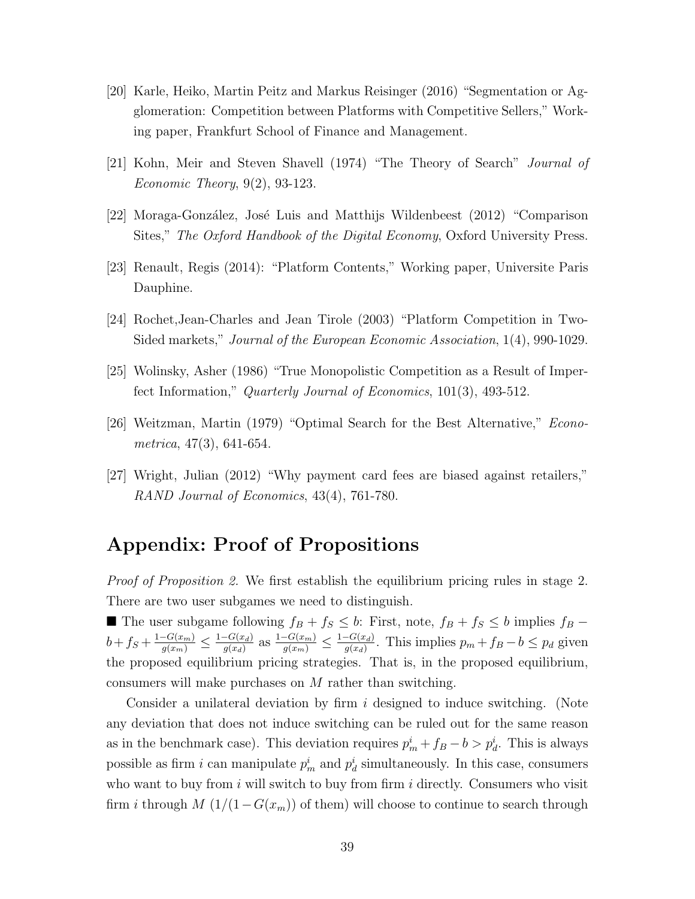- [20] Karle, Heiko, Martin Peitz and Markus Reisinger (2016) "Segmentation or Agglomeration: Competition between Platforms with Competitive Sellers," Working paper, Frankfurt School of Finance and Management.
- [21] Kohn, Meir and Steven Shavell (1974) "The Theory of Search" Journal of Economic Theory, 9(2), 93-123.
- [22] Moraga-González, José Luis and Matthijs Wildenbeest (2012) "Comparison Sites," The Oxford Handbook of the Digital Economy, Oxford University Press.
- [23] Renault, Regis (2014): "Platform Contents," Working paper, Universite Paris Dauphine.
- [24] Rochet,Jean-Charles and Jean Tirole (2003) "Platform Competition in Two-Sided markets," Journal of the European Economic Association, 1(4), 990-1029.
- [25] Wolinsky, Asher (1986) "True Monopolistic Competition as a Result of Imperfect Information," Quarterly Journal of Economics, 101(3), 493-512.
- [26] Weitzman, Martin (1979) "Optimal Search for the Best Alternative," Econometrica, 47(3), 641-654.
- [27] Wright, Julian (2012) "Why payment card fees are biased against retailers," RAND Journal of Economics, 43(4), 761-780.

# Appendix: Proof of Propositions

Proof of Proposition [2.](#page-18-0) We first establish the equilibrium pricing rules in stage 2. There are two user subgames we need to distinguish.

■ The user subgame following  $f_B + f_S \leq b$ : First, note,  $f_B + f_S \leq b$  implies  $f_B$  –  $b + f_S + \frac{1 - G(x_m)}{g(x_m)} \leq \frac{1 - G(x_d)}{g(x_d)}$  $\frac{-G(x_d)}{g(x_d)}$  as  $\frac{1-G(x_m)}{g(x_m)} \leq \frac{1-G(x_d)}{g(x_d)}$  $\frac{-G(x_d)}{g(x_d)}$ . This implies  $p_m + f_B - b \leq p_d$  given the proposed equilibrium pricing strategies. That is, in the proposed equilibrium, consumers will make purchases on M rather than switching.

Consider a unilateral deviation by firm  $i$  designed to induce switching. (Note any deviation that does not induce switching can be ruled out for the same reason as in the benchmark case). This deviation requires  $p_m^i + f_B - b > p_d^i$ . This is always possible as firm i can manipulate  $p_m^i$  and  $p_d^i$  simultaneously. In this case, consumers who want to buy from  $i$  will switch to buy from firm  $i$  directly. Consumers who visit firm *i* through  $M(1/(1-G(x_m))$  of them) will choose to continue to search through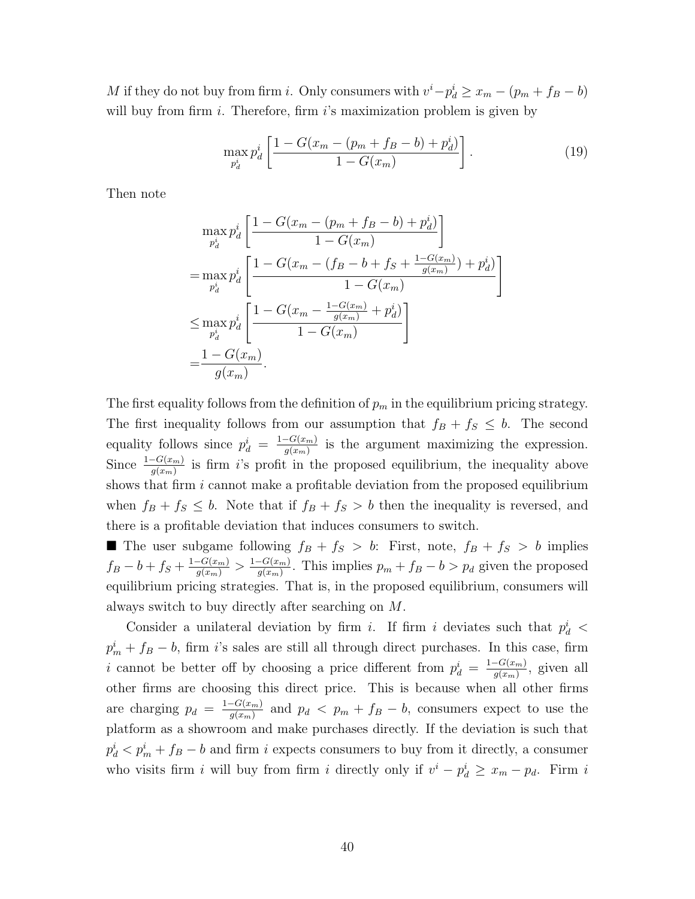M if they do not buy from firm *i*. Only consumers with  $v^{i} - p_{d}^{i} \geq x_{m} - (p_{m} + f_{B} - b)$ will buy from firm  $i$ . Therefore, firm  $i$ 's maximization problem is given by

$$
\max_{p_d^i} p_d^i \left[ \frac{1 - G(x_m - (p_m + f_B - b) + p_d^i)}{1 - G(x_m)} \right].
$$
\n(19)

Then note

$$
\max_{p_d^i} p_d^i \left[ \frac{1 - G(x_m - (p_m + f_B - b) + p_d^i)}{1 - G(x_m)} \right]
$$
  
= 
$$
\max_{p_d^i} p_d^i \left[ \frac{1 - G(x_m - (f_B - b + f_S + \frac{1 - G(x_m)}{g(x_m)}) + p_d^i)}{1 - G(x_m)} \right]
$$
  

$$
\leq \max_{p_d^i} p_d^i \left[ \frac{1 - G(x_m - \frac{1 - G(x_m)}{g(x_m)} + p_d^i)}{1 - G(x_m)} \right]
$$
  
= 
$$
\frac{1 - G(x_m)}{g(x_m)}
$$
.

The first equality follows from the definition of  $p_m$  in the equilibrium pricing strategy. The first inequality follows from our assumption that  $f_B + f_S \leq b$ . The second equality follows since  $p_d^i = \frac{1-G(x_m)}{q(x_m)}$  $\frac{G(x_m)}{g(x_m)}$  is the argument maximizing the expression. Since  $\frac{1-G(x_m)}{g(x_m)}$  is firm i's profit in the proposed equilibrium, the inequality above shows that firm  $i$  cannot make a profitable deviation from the proposed equilibrium when  $f_B + f_S \leq b$ . Note that if  $f_B + f_S > b$  then the inequality is reversed, and there is a profitable deviation that induces consumers to switch.

The user subgame following  $f_B + f_S > b$ : First, note,  $f_B + f_S > b$  implies  $f_B - b + f_S + \frac{1 - G(x_m)}{g(x_m)} > \frac{1 - G(x_m)}{g(x_m)}$  $\frac{q(x_m)}{q(x_m)}$ . This implies  $p_m + f_B - b > p_d$  given the proposed equilibrium pricing strategies. That is, in the proposed equilibrium, consumers will always switch to buy directly after searching on M.

Consider a unilateral deviation by firm i. If firm i deviates such that  $p_d^i$  <  $p_m^i + f_B - b$ , firm i's sales are still all through direct purchases. In this case, firm i cannot be better off by choosing a price different from  $p_d^i = \frac{1-G(x_m)}{q(x_m)}$  $\frac{G(x_m)}{g(x_m)}$ , given all other firms are choosing this direct price. This is because when all other firms are charging  $p_d = \frac{1-G(x_m)}{q(x_m)}$  $\frac{q - G(x_m)}{g(x_m)}$  and  $p_d < p_m + f_B - b$ , consumers expect to use the platform as a showroom and make purchases directly. If the deviation is such that  $p_d^i$   $\lt p_m^i + f_B - b$  and firm i expects consumers to buy from it directly, a consumer who visits firm i will buy from firm i directly only if  $v^i - p_d^i \ge x_m - p_d$ . Firm i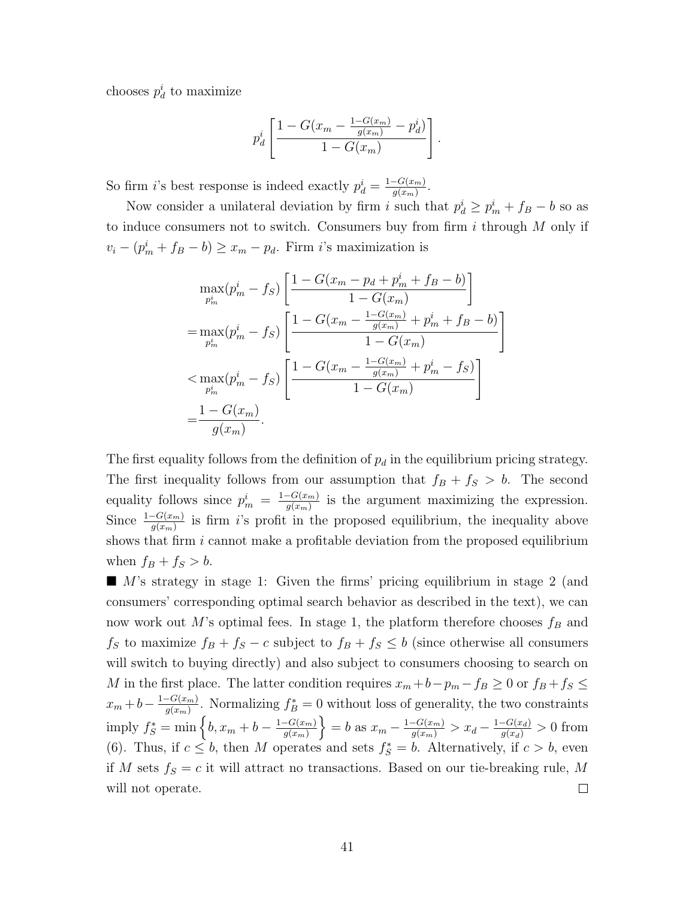chooses  $p_d^i$  to maximize

$$
p_d^i \left[ \frac{1 - G(x_m - \frac{1 - G(x_m)}{g(x_m)} - p_d^i)}{1 - G(x_m)} \right].
$$

So firm *i*'s best response is indeed exactly  $p_d^i = \frac{1 - G(x_m)}{q(x_m)}$  $\frac{-G(x_m)}{g(x_m)}$ .

Now consider a unilateral deviation by firm i such that  $p_d^i \geq p_m^i + f_B - b$  so as to induce consumers not to switch. Consumers buy from firm  $i$  through  $M$  only if  $v_i - (p_m^i + f_B - b) \ge x_m - p_d$ . Firm i's maximization is

$$
\max_{p_m^i} (p_m^i - f_S) \left[ \frac{1 - G(x_m - p_d + p_m^i + f_B - b)}{1 - G(x_m)} \right]
$$
  
\n
$$
= \max_{p_m^i} (p_m^i - f_S) \left[ \frac{1 - G(x_m - \frac{1 - G(x_m)}{g(x_m)} + p_m^i + f_B - b)}{1 - G(x_m)} \right]
$$
  
\n
$$
< \max_{p_m^i} (p_m^i - f_S) \left[ \frac{1 - G(x_m - \frac{1 - G(x_m)}{g(x_m)} + p_m^i - f_S)}{1 - G(x_m)} \right]
$$
  
\n
$$
= \frac{1 - G(x_m)}{g(x_m)}.
$$

The first equality follows from the definition of  $p_d$  in the equilibrium pricing strategy. The first inequality follows from our assumption that  $f_B + f_S > b$ . The second equality follows since  $p_m^i = \frac{1-G(x_m)}{q(x_m)}$  $\frac{G(x_m)}{g(x_m)}$  is the argument maximizing the expression. Since  $\frac{1-G(x_m)}{g(x_m)}$  is firm is profit in the proposed equilibrium, the inequality above shows that firm  $i$  cannot make a profitable deviation from the proposed equilibrium when  $f_B + f_S > b$ .

 $\blacksquare$  M's strategy in stage 1: Given the firms' pricing equilibrium in stage 2 (and consumers' corresponding optimal search behavior as described in the text), we can now work out M's optimal fees. In stage 1, the platform therefore chooses  $f_B$  and  $f_S$  to maximize  $f_B + f_S - c$  subject to  $f_B + f_S \leq b$  (since otherwise all consumers will switch to buying directly) and also subject to consumers choosing to search on M in the first place. The latter condition requires  $x_m + b - p_m - f_B \ge 0$  or  $f_B + f_S \le$  $x_m + b - \frac{1 - G(x_m)}{g(x_m)}$  $\frac{G(x_m)}{g(x_m)}$ . Normalizing  $f_B^* = 0$  without loss of generality, the two constraints imply  $f_S^* = \min \left\{ b, x_m + b - \frac{1 - G(x_m)}{q(x_m)} \right\}$ } = b as  $x_m - \frac{1 - G(x_m)}{g(x_m)} > x_d - \frac{1 - G(x_d)}{g(x_d)} > 0$  from  $g(x_m)$ [\(6\)](#page-13-1). Thus, if  $c \leq b$ , then M operates and sets  $f_S^* = b$ . Alternatively, if  $c > b$ , even if M sets  $f_S = c$  it will attract no transactions. Based on our tie-breaking rule, M  $\Box$ will not operate.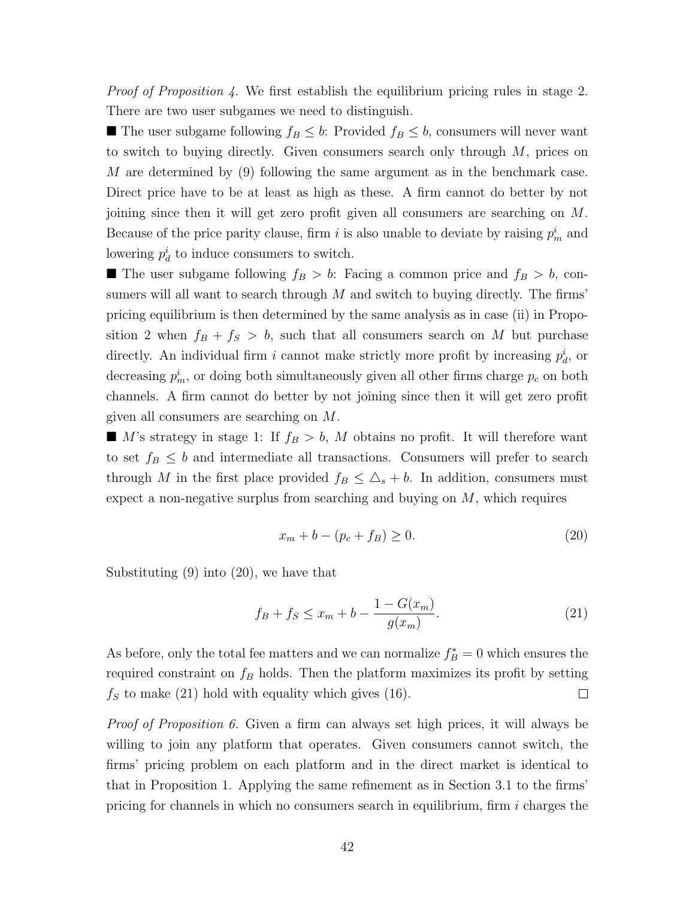Proof of Proposition [4.](#page-19-2) We first establish the equilibrium pricing rules in stage 2. There are two user subgames we need to distinguish.

■ The user subgame following  $f_B \leq b$ : Provided  $f_B \leq b$ , consumers will never want to switch to buying directly. Given consumers search only through  $M$ , prices on M are determined by [\(9\)](#page-14-0) following the same argument as in the benchmark case. Direct price have to be at least as high as these. A firm cannot do better by not joining since then it will get zero profit given all consumers are searching on M. Because of the price parity clause, firm i is also unable to deviate by raising  $p_m^i$  and lowering  $p_d^i$  to induce consumers to switch.

**The user subgame following**  $f_B > b$ : Facing a common price and  $f_B > b$ , consumers will all want to search through  $M$  and switch to buying directly. The firms' pricing equilibrium is then determined by the same analysis as in case (ii) in Propo-sition [2](#page-18-0) when  $f_B + f_S > b$ , such that all consumers search on M but purchase directly. An individual firm i cannot make strictly more profit by increasing  $p_d^i$ , or decreasing  $p_m^i$ , or doing both simultaneously given all other firms charge  $p_c$  on both channels. A firm cannot do better by not joining since then it will get zero profit given all consumers are searching on M.

 $\blacksquare$  M's strategy in stage 1: If  $f_B > b$ , M obtains no profit. It will therefore want to set  $f_B \leq b$  and intermediate all transactions. Consumers will prefer to search through M in the first place provided  $f_B \leq \Delta_s + b$ . In addition, consumers must expect a non-negative surplus from searching and buying on  $M$ , which requires

<span id="page-41-0"></span>
$$
x_m + b - (p_c + f_B) \ge 0.
$$
 (20)

Substituting [\(9\)](#page-14-0) into [\(20\)](#page-41-0), we have that

<span id="page-41-1"></span>
$$
f_B + f_S \le x_m + b - \frac{1 - G(x_m)}{g(x_m)}.
$$
\n(21)

As before, only the total fee matters and we can normalize  $f_B^* = 0$  which ensures the required constraint on  $f_B$  holds. Then the platform maximizes its profit by setting  $f<sub>S</sub>$  to make [\(21\)](#page-41-1) hold with equality which gives [\(16\)](#page-19-3).  $\Box$ 

*Proof of Proposition [6.](#page-22-0)* Given a firm can always set high prices, it will always be willing to join any platform that operates. Given consumers cannot switch, the firms' pricing problem on each platform and in the direct market is identical to that in Proposition [1.](#page-16-2) Applying the same refinement as in Section [3.1](#page-10-0) to the firms' pricing for channels in which no consumers search in equilibrium, firm  $i$  charges the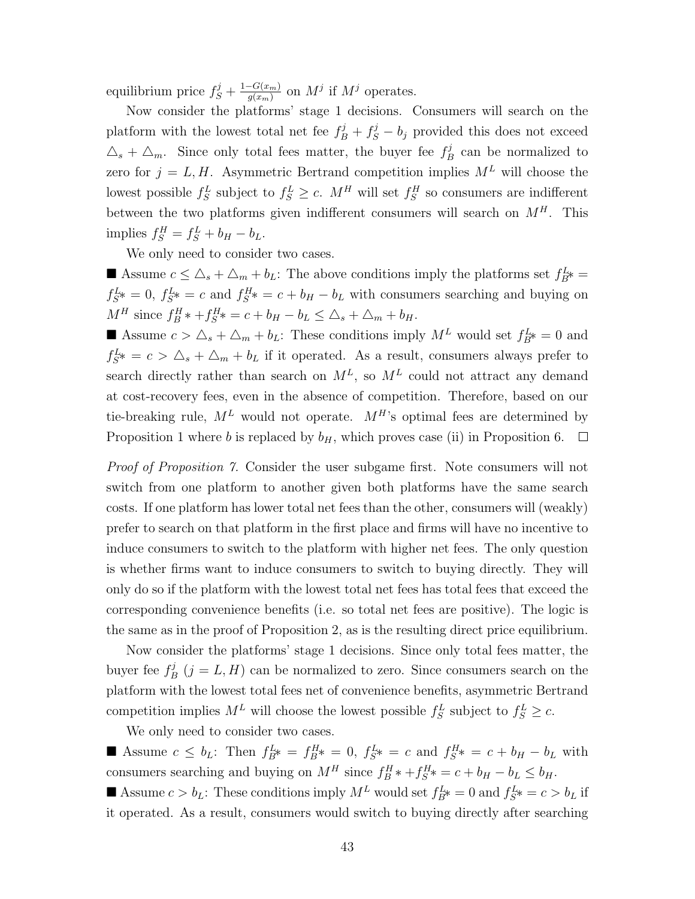equilibrium price  $f_S^j + \frac{1-G(x_m)}{q(x_m)}$  $\frac{G(x_m)}{g(x_m)}$  on  $M^j$  if  $M^j$  operates.

Now consider the platforms' stage 1 decisions. Consumers will search on the platform with the lowest total net fee  $f_B^j + f_S^j - b_j$  provided this does not exceed  $\Delta_s + \Delta_m$ . Since only total fees matter, the buyer fee  $f_E^j$  $B_B^j$  can be normalized to zero for  $j = L, H$ . Asymmetric Bertrand competition implies  $M<sup>L</sup>$  will choose the lowest possible  $f_S^L$  subject to  $f_S^L \ge c$ .  $M^H$  will set  $f_S^H$  so consumers are indifferent between the two platforms given indifferent consumers will search on  $M<sup>H</sup>$ . This implies  $f_S^H = f_S^L + b_H - b_L$ .

We only need to consider two cases.

Assume  $c \leq \Delta_s + \Delta_m + b_L$ : The above conditions imply the platforms set  $f_{B^*}^L =$  $f_{S}^{L*} = 0, f_{S}^{L*} = c$  and  $f_{S}^{H*} = c + b_H - b_L$  with consumers searching and buying on  $M^H$  since  $f_B^H * + f_S^H * = c + b_H - b_L \leq \Delta_s + \Delta_m + b_H$ .

Assume  $c > \Delta_s + \Delta_m + b_L$ : These conditions imply  $M^L$  would set  $f_{B^*}^L = 0$  and  $f_{S}^{L*} = c > \Delta_s + \Delta_m + b_L$  if it operated. As a result, consumers always prefer to search directly rather than search on  $M^L$ , so  $M^L$  could not attract any demand at cost-recovery fees, even in the absence of competition. Therefore, based on our tie-breaking rule,  $M^L$  would not operate.  $M^H$ 's optimal fees are determined by Proposition [1](#page-16-2) where b is replaced by  $b_H$ , which proves case (ii) in Proposition [6.](#page-22-0)  $\Box$ 

Proof of Proposition [7.](#page-23-0) Consider the user subgame first. Note consumers will not switch from one platform to another given both platforms have the same search costs. If one platform has lower total net fees than the other, consumers will (weakly) prefer to search on that platform in the first place and firms will have no incentive to induce consumers to switch to the platform with higher net fees. The only question is whether firms want to induce consumers to switch to buying directly. They will only do so if the platform with the lowest total net fees has total fees that exceed the corresponding convenience benefits (i.e. so total net fees are positive). The logic is the same as in the proof of Proposition [2,](#page-18-0) as is the resulting direct price equilibrium.

Now consider the platforms' stage 1 decisions. Since only total fees matter, the buyer fee  $f_F^j$  $B_B^j$   $(j = L, H)$  can be normalized to zero. Since consumers search on the platform with the lowest total fees net of convenience benefits, asymmetric Bertrand competition implies  $M^L$  will choose the lowest possible  $f_S^L$  subject to  $f_S^L \geq c$ .

We only need to consider two cases.

Assume  $c \leq b_L$ : Then  $f_{B}^L = f_{B}^H = 0$ ,  $f_{S}^L = c$  and  $f_{S}^H = c + b_H - b_L$  with consumers searching and buying on  $M^H$  since  $f_B^H * + f_S^H * = c + b_H - b_L \le b_H$ .

Assume  $c > b_L$ : These conditions imply  $M^L$  would set  $f_{B^*}^L = 0$  and  $f_{S^*}^L = c > b_L$  if it operated. As a result, consumers would switch to buying directly after searching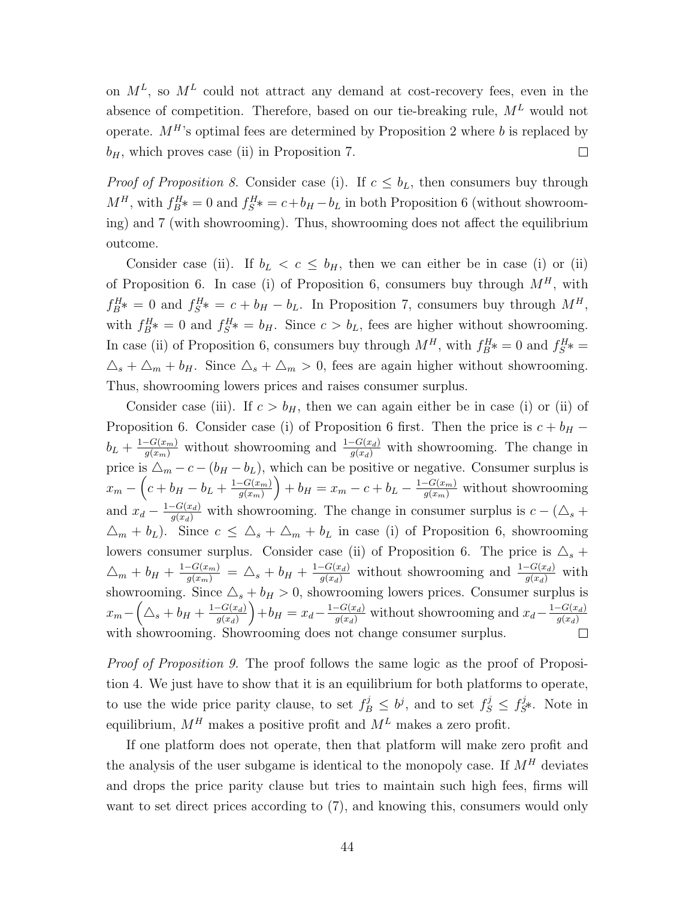on  $M^L$ , so  $M^L$  could not attract any demand at cost-recovery fees, even in the absence of competition. Therefore, based on our tie-breaking rule,  $M<sup>L</sup>$  would not operate.  $M^H$ 's optimal fees are determined by Proposition [2](#page-18-0) where b is replaced by  $b_H$ , which proves case (ii) in Proposition [7.](#page-23-0)  $\Box$ 

*Proof of Proposition [8.](#page-23-1)* Consider case (i). If  $c \leq b_L$ , then consumers buy through  $M^H$ , with  $f_{B}^H$  = 0 and  $f_{S}^H$  =  $c + b_H - b_L$  in both Proposition [6](#page-22-0) (without showrooming) and [7](#page-23-0) (with showrooming). Thus, showrooming does not affect the equilibrium outcome.

Consider case (ii). If  $b_L < c \leq b_H$ , then we can either be in case (i) or (ii) of Proposition [6.](#page-22-0) In case (i) of Proposition [6,](#page-22-0) consumers buy through  $M<sup>H</sup>$ , with  $f_{B^*}^H = 0$  and  $f_{S^*}^H = c + b_H - b_L$ . In Proposition [7,](#page-23-0) consumers buy through  $M^H$ , with  $f_B^H$  = 0 and  $f_S^H$  =  $b_H$ . Since  $c > b_L$ , fees are higher without showrooming. In case (ii) of Proposition [6,](#page-22-0) consumers buy through  $M^H$ , with  $f_B^H$  = 0 and  $f_S^H$  =  $\Delta_s + \Delta_m + b_H$ . Since  $\Delta_s + \Delta_m > 0$ , fees are again higher without showrooming. Thus, showrooming lowers prices and raises consumer surplus.

Consider case (iii). If  $c > b_H$ , then we can again either be in case (i) or (ii) of Proposition [6.](#page-22-0) Consider case (i) of Proposition [6](#page-22-0) first. Then the price is  $c + b$ H −  $b_L + \frac{1-G(x_m)}{g(x_m)}$  without showrooming and  $\frac{1-G(x_d)}{g(x_d)}$  with showrooming. The change in price is  $\Delta_m - c - (b_H - b_L)$ , which can be positive or negative. Consumer surplus is  $x_m - \left(c + b_H - b_L + \frac{1 - G(x_m)}{a(x_m)}\right)$  $g(x_m)$  $+ b_H = x_m - c + b_L - \frac{1 - G(x_m)}{g(x_m)}$  without showrooming and  $x_d - \frac{1 - G(x_d)}{g(x_d)}$  with showrooming. The change in consumer surplus is  $c - (\Delta_s +$  $\Delta_m + b_L$ ). Since  $c \leq \Delta_s + \Delta_m + b_L$  in case (i) of Proposition [6,](#page-22-0) showrooming lowers consumer surplus. Consider case (ii) of Proposition [6.](#page-22-0) The price is  $\Delta_s$  +  $\Delta_m + b_H + \frac{1-G(x_m)}{g(x_m)} = \Delta_s + b_H + \frac{1-G(x_d)}{g(x_d)}$  without showrooming and  $\frac{1-G(x_d)}{g(x_d)}$  with showrooming. Since  $\Delta_s + b_H > 0$ , showrooming lowers prices. Consumer surplus is  $x_m - \left(\triangle_s + b_H + \frac{1-G(x_d)}{g(x_d)}\right)$  $g(x_d)$  $+ b_H = x_d - \frac{1-G(x_d)}{g(x_d)}$  without showrooming and  $x_d - \frac{1-G(x_d)}{g(x_d)}$  $g(x_d)$ with showrooming. Showrooming does not change consumer surplus.

Proof of Proposition [9.](#page-24-1) The proof follows the same logic as the proof of Proposition [4.](#page-19-2) We just have to show that it is an equilibrium for both platforms to operate, to use the wide price parity clause, to set  $f_B^j \leq b^j$ , and to set  $f_S^j \leq f_S^j$  $s^3$ \*. Note in equilibrium,  $M^H$  makes a positive profit and  $M^L$  makes a zero profit.

If one platform does not operate, then that platform will make zero profit and the analysis of the user subgame is identical to the monopoly case. If  $M<sup>H</sup>$  deviates and drops the price parity clause but tries to maintain such high fees, firms will want to set direct prices according to [\(7\)](#page-14-2), and knowing this, consumers would only